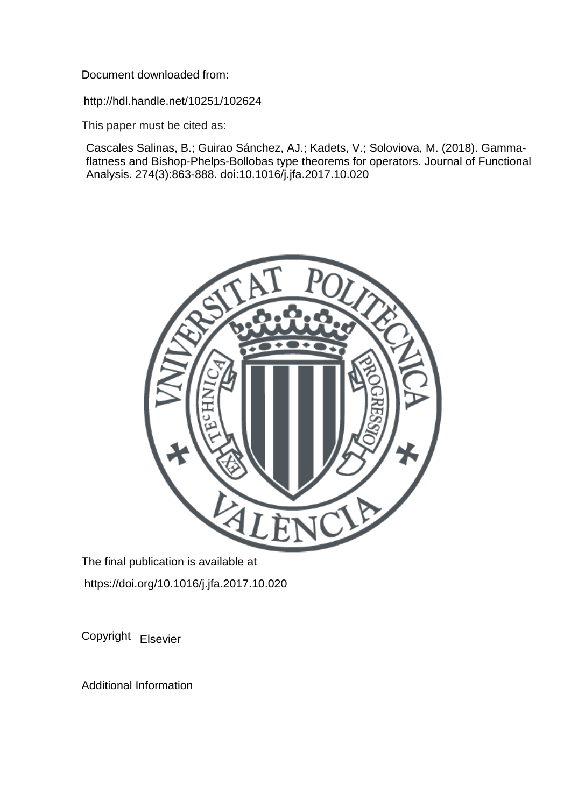Document downloaded from:

http://hdl.handle.net/10251/102624

This paper must be cited as:

Cascales Salinas, B.; Guirao Sánchez, AJ.; Kadets, V.; Soloviova, M. (2018). Gammaflatness and Bishop-Phelps-Bollobas type theorems for operators. Journal of Functional Analysis. 274(3):863-888. doi:10.1016/j.jfa.2017.10.020



The final publication is available at https://doi.org/10.1016/j.jfa.2017.10.020

Copyright Elsevier

Additional Information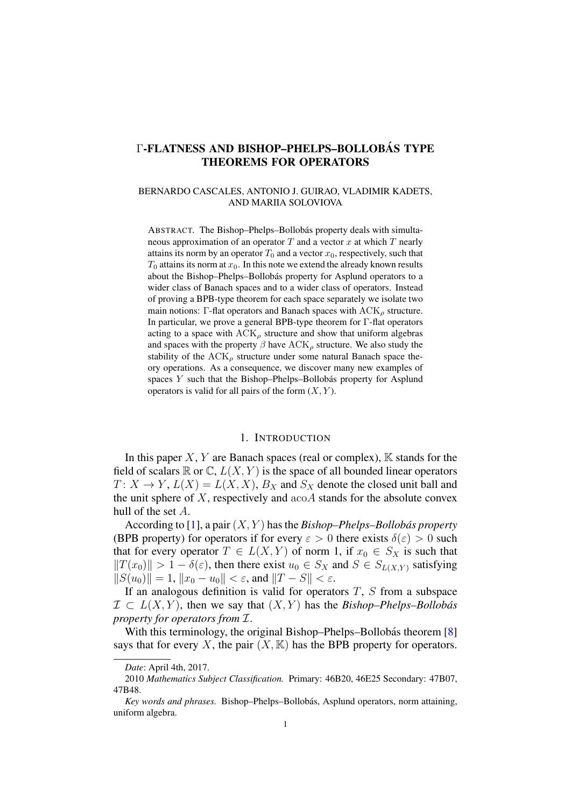# Γ-FLATNESS AND BISHOP-PHELPS-BOLLOBÁS TYPE THEOREMS FOR OPERATORS

#### BERNARDO CASCALES, ANTONIO J. GUIRAO, VLADIMIR KADETS, AND MARIIA SOLOVIOVA

ABSTRACT. The Bishop–Phelps–Bollobás property deals with simultaneous approximation of an operator  $T$  and a vector  $x$  at which  $T$  nearly attains its norm by an operator  $T_0$  and a vector  $x_0$ , respectively, such that  $T_0$  attains its norm at  $x_0$ . In this note we extend the already known results about the Bishop–Phelps–Bollobás property for Asplund operators to a wider class of Banach spaces and to a wider class of operators. Instead of proving a BPB-type theorem for each space separately we isolate two main notions: Γ-flat operators and Banach spaces with  $ACK_{\rho}$  structure. In particular, we prove a general BPB-type theorem for Γ-flat operators acting to a space with  $ACK_{\rho}$  structure and show that uniform algebras and spaces with the property  $\beta$  have  $ACK_{\rho}$  structure. We also study the stability of the  $ACK<sub>o</sub>$  structure under some natural Banach space theory operations. As a consequence, we discover many new examples of spaces  $Y$  such that the Bishop–Phelps–Bollobás property for Asplund operators is valid for all pairs of the form  $(X, Y)$ .

## 1. INTRODUCTION

In this paper  $X, Y$  are Banach spaces (real or complex),  $\mathbb K$  stands for the field of scalars  $\mathbb R$  or  $\mathbb C$ ,  $L(X, Y)$  is the space of all bounded linear operators  $T: X \to Y, L(X) = L(X, X), B_X$  and  $S_X$  denote the closed unit ball and the unit sphere of  $X$ , respectively and  $a\text{co}A$  stands for the absolute convex hull of the set A.

According to [\[1\]](#page-23-0), a pair  $(X, Y)$  has the *Bishop–Phelps–Bollobás property* (BPB property) for operators if for every  $\varepsilon > 0$  there exists  $\delta(\varepsilon) > 0$  such that for every operator  $T \in L(X, Y)$  of norm 1, if  $x_0 \in S_X$  is such that  $||T(x_0)|| > 1 - \delta(\varepsilon)$ , then there exist  $u_0 \in S_X$  and  $S \in S_{L(X,Y)}$  satisfying  $||S(u_0)|| = 1, ||x_0 - u_0|| < \varepsilon$ , and  $||T - S|| < \varepsilon$ .

If an analogous definition is valid for operators  $T$ ,  $S$  from a subspace  $\mathcal{I} \subset L(X, Y)$ , then we say that  $(X, Y)$  has the *Bishop–Phelps–Bollobás property for operators from* I.

With this terminology, the original Bishop–Phelps–Bollobás theorem  $[8]$  $[8]$ says that for every X, the pair  $(X, K)$  has the BPB property for operators.

*Date*: April 4th, 2017.

<sup>2010</sup> *Mathematics Subject Classification.* Primary: 46B20, 46E25 Secondary: 47B07, 47B48.

Key words and phrases. Bishop–Phelps–Bollobás, Asplund operators, norm attaining, uniform algebra.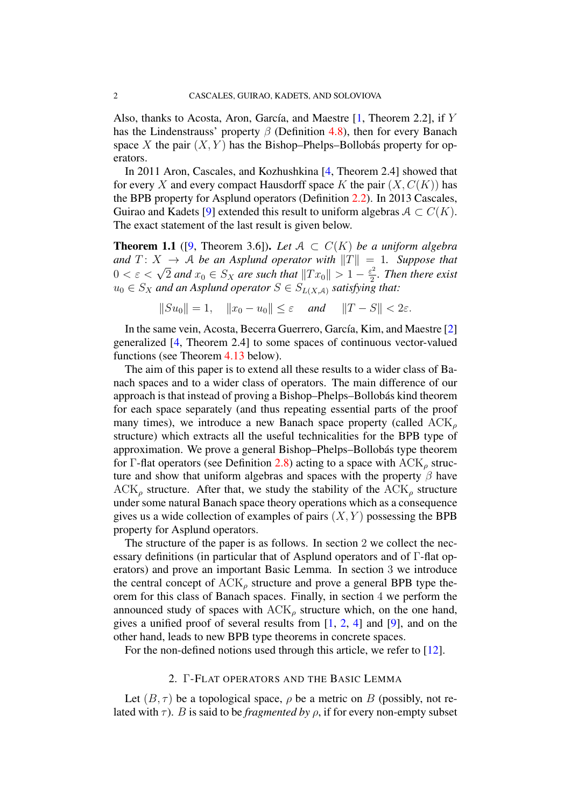Also, thanks to Acosta, Aron, García, and Maestre  $[1,$  Theorem 2.2], if Y has the Lindenstrauss' property  $\beta$  (Definition [4.8\)](#page-12-0), then for every Banach space X the pair  $(X, Y)$  has the Bishop–Phelps–Bollobás property for operators.

In 2011 Aron, Cascales, and Kozhushkina [\[4,](#page-23-2) Theorem 2.4] showed that for every X and every compact Hausdorff space K the pair  $(X, C(K))$  has the BPB property for Asplund operators (Definition [2.2\)](#page-3-0). In 2013 Cascales, Guirao and Kadets [\[9\]](#page-23-3) extended this result to uniform algebras  $A \subset C(K)$ . The exact statement of the last result is given below.

**Theorem 1.1** ([\[9,](#page-23-3) Theorem 3.6]). Let  $A \subset C(K)$  be a uniform algebra *and*  $T: X \rightarrow A$  *be an Asplund operator with*  $||T|| = 1$ *. Suppose that* and  $1: X \to \mathcal{A}$  be an Aspland operator with  $||1|| =$ <br> $0 < \varepsilon < \sqrt{2}$  and  $x_0 \in S_X$  are such that  $||Tx_0|| > 1 - \frac{\varepsilon^2}{2}$  $\frac{z^2}{2}$ . Then there exist  $u_0 \in S_X$  and an Asplund operator  $S \in S_{L(X,A)}$  satisfying that:

$$
||Su_0|| = 1, \quad ||x_0 - u_0|| \le \varepsilon \quad \text{and} \quad ||T - S|| < 2\varepsilon.
$$

In the same vein, Acosta, Becerra Guerrero, García, Kim, and Maestre [\[2\]](#page-23-4) generalized [\[4,](#page-23-2) Theorem 2.4] to some spaces of continuous vector-valued functions (see Theorem [4.13](#page-17-0) below).

The aim of this paper is to extend all these results to a wider class of Banach spaces and to a wider class of operators. The main difference of our approach is that instead of proving a Bishop–Phelps–Bollobás kind theorem for each space separately (and thus repeating essential parts of the proof many times), we introduce a new Banach space property (called  $ACK_{\rho}$ structure) which extracts all the useful technicalities for the BPB type of approximation. We prove a general Bishop–Phelps–Bollobás type theorem for Γ-flat operators (see Definition [2.8\)](#page-4-0) acting to a space with  $ACK_{\rho}$  structure and show that uniform algebras and spaces with the property  $\beta$  have  $ACK_{\rho}$  structure. After that, we study the stability of the  $ACK_{\rho}$  structure under some natural Banach space theory operations which as a consequence gives us a wide collection of examples of pairs  $(X, Y)$  possessing the BPB property for Asplund operators.

The structure of the paper is as follows. In section 2 we collect the necessary definitions (in particular that of Asplund operators and of Γ-flat operators) and prove an important Basic Lemma. In section 3 we introduce the central concept of  $ACK_{\rho}$  structure and prove a general BPB type theorem for this class of Banach spaces. Finally, in section 4 we perform the announced study of spaces with  $ACK_{\rho}$  structure which, on the one hand, gives a unified proof of several results from  $[1, 2, 4]$  $[1, 2, 4]$  $[1, 2, 4]$  $[1, 2, 4]$  $[1, 2, 4]$  and  $[9]$ , and on the other hand, leads to new BPB type theorems in concrete spaces.

For the non-defined notions used through this article, we refer to [\[12\]](#page-23-5).

## 2. Γ-FLAT OPERATORS AND THE BASIC LEMMA

Let  $(B, \tau)$  be a topological space,  $\rho$  be a metric on B (possibly, not related with  $\tau$ ). *B* is said to be *fragmented by*  $\rho$ , if for every non-empty subset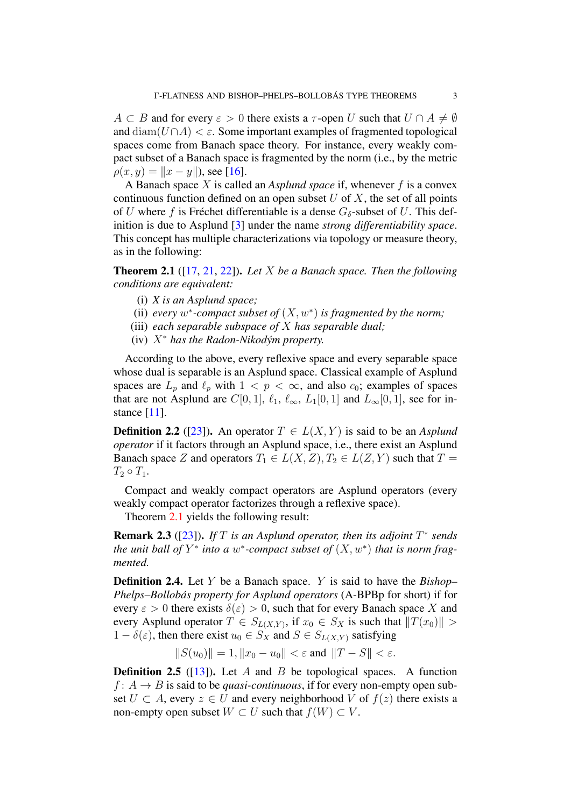$A \subset B$  and for every  $\varepsilon > 0$  there exists a  $\tau$ -open U such that  $U \cap A \neq \emptyset$ and  $\text{diam}(U \cap A) < \varepsilon$ . Some important examples of fragmented topological spaces come from Banach space theory. For instance, every weakly compact subset of a Banach space is fragmented by the norm (i.e., by the metric  $\rho(x, y) = ||x - y||$ , see [\[16\]](#page-24-0).

A Banach space X is called an *Asplund space* if, whenever f is a convex continuous function defined on an open subset  $U$  of  $X$ , the set of all points of U where f is Fréchet differentiable is a dense  $G_{\delta}$ -subset of U. This definition is due to Asplund [\[3\]](#page-23-6) under the name *strong differentiability space*. This concept has multiple characterizations via topology or measure theory, as in the following:

<span id="page-3-1"></span>Theorem 2.1 ([\[17,](#page-24-1) [21,](#page-24-2) [22\]](#page-24-3)). *Let* X *be a Banach space. Then the following conditions are equivalent:*

- (i) *X is an Asplund space;*
- (ii) every  $w^*$ -compact subset of  $(X, w^*)$  is fragmented by the norm;
- (iii) *each separable subspace of* X *has separable dual;*
- (iv) X<sup>∗</sup> *has the Radon-Nikodym property. ´*

According to the above, every reflexive space and every separable space whose dual is separable is an Asplund space. Classical example of Asplund spaces are  $L_p$  and  $\ell_p$  with  $1 < p < \infty$ , and also  $c_0$ ; examples of spaces that are not Asplund are  $C[0, 1]$ ,  $\ell_1$ ,  $\ell_{\infty}$ ,  $L_1[0, 1]$  and  $L_{\infty}[0, 1]$ , see for in-stance [\[11\]](#page-23-7).

<span id="page-3-0"></span>**Definition 2.2** ([\[23\]](#page-24-4)). An operator  $T \in L(X, Y)$  is said to be an *Asplund operator* if it factors through an Asplund space, i.e., there exist an Asplund Banach space Z and operators  $T_1 \in L(X, Z), T_2 \in L(Z, Y)$  such that  $T =$  $T_2 \circ T_1$ .

Compact and weakly compact operators are Asplund operators (every weakly compact operator factorizes through a reflexive space).

Theorem [2.1](#page-3-1) yields the following result:

<span id="page-3-2"></span>**Remark 2.3** ([\[23\]](#page-24-4)). If  $T$  is an Asplund operator, then its adjoint  $T^*$  sends *the unit ball of*  $Y^*$  *into a w\*-compact subset of*  $(X, w^*)$  *that is norm fragmented.*

Definition 2.4. Let Y be a Banach space. Y is said to have the *Bishop– Phelps–Bollobas property for Asplund operators ´* (A-BPBp for short) if for every  $\varepsilon > 0$  there exists  $\delta(\varepsilon) > 0$ , such that for every Banach space X and every Asplund operator  $T \in S_{L(X,Y)}$ , if  $x_0 \in S_X$  is such that  $||T(x_0)|| >$  $1 - \delta(\varepsilon)$ , then there exist  $u_0 \in S_X$  and  $S \in S_{L(X,Y)}$  satisfying

 $||S(u_0)|| = 1, ||x_0 - u_0|| < \varepsilon$  and  $||T - S|| < \varepsilon$ .

**Definition 2.5** ([\[13\]](#page-23-8)). Let A and B be topological spaces. A function  $f: A \rightarrow B$  is said to be *quasi-continuous*, if for every non-empty open subset  $U \subset A$ , every  $z \in U$  and every neighborhood V of  $f(z)$  there exists a non-empty open subset  $W \subset U$  such that  $f(W) \subset V$ .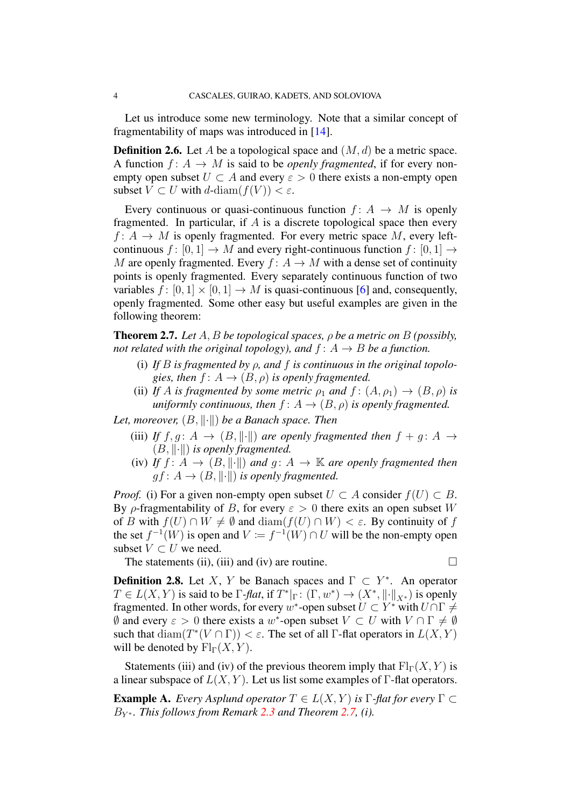Let us introduce some new terminology. Note that a similar concept of fragmentability of maps was introduced in [\[14\]](#page-24-5).

<span id="page-4-2"></span>**Definition 2.6.** Let A be a topological space and  $(M, d)$  be a metric space. A function  $f: A \rightarrow M$  is said to be *openly fragmented*, if for every nonempty open subset  $U \subset A$  and every  $\varepsilon > 0$  there exists a non-empty open subset  $V \subset U$  with  $d$ -diam $(f(V)) < \varepsilon$ .

Every continuous or quasi-continuous function  $f: A \rightarrow M$  is openly fragmented. In particular, if  $A$  is a discrete topological space then every  $f: A \rightarrow M$  is openly fragmented. For every metric space M, every leftcontinuous  $f: [0, 1] \rightarrow M$  and every right-continuous function  $f: [0, 1] \rightarrow M$ M are openly fragmented. Every  $f: A \to M$  with a dense set of continuity points is openly fragmented. Every separately continuous function of two variables  $f : [0, 1] \times [0, 1] \rightarrow M$  is quasi-continuous [\[6\]](#page-23-9) and, consequently, openly fragmented. Some other easy but useful examples are given in the following theorem:

<span id="page-4-1"></span>Theorem 2.7. *Let* A, B *be topological spaces,* ρ *be a metric on* B *(possibly, not related with the original topology), and*  $f: A \rightarrow B$  *be a function.* 

- (i) *If* B *is fragmented by* ρ*, and* f *is continuous in the original topologies, then*  $f: A \rightarrow (B, \rho)$  *is openly fragmented.*
- (ii) *If* A *is fragmented by some metric*  $\rho_1$  *and*  $f : (A, \rho_1) \rightarrow (B, \rho)$  *is uniformly continuous, then*  $f: A \rightarrow (B, \rho)$  *is openly fragmented.*

*Let, moreover,*  $(B, \|\cdot\|)$  *be a Banach space. Then* 

- (iii) *If*  $f, g: A \rightarrow (B, \|\cdot\|)$  *are openly fragmented then*  $f + g: A \rightarrow$  $(B, \|\cdot\|)$  *is openly fragmented.*
- (iv) *If*  $f: A \rightarrow (B, \|\cdot\|)$  *and*  $g: A \rightarrow \mathbb{K}$  *are openly fragmented then*  $gf: A \rightarrow (B, \|\cdot\|)$  *is openly fragmented.*

*Proof.* (i) For a given non-empty open subset  $U \subset A$  consider  $f(U) \subset B$ . By ρ-fragmentability of B, for every  $\varepsilon > 0$  there exits an open subset W of B with  $f(U) \cap W \neq \emptyset$  and  $\text{diam}(f(U) \cap W) < \varepsilon$ . By continuity of f the set  $f^{-1}(W)$  is open and  $V := f^{-1}(W) \cap U$  will be the non-empty open subset  $V \subset U$  we need.

The statements (ii), (iii) and (iv) are routine.  $\Box$ 

<span id="page-4-0"></span>**Definition 2.8.** Let X, Y be Banach spaces and  $\Gamma \subset Y^*$ . An operator  $T \in L(X, Y)$  is said to be  $\Gamma$ -*flat*, if  $T^*|_{\Gamma} : (\Gamma, w^*) \to (X^*, ||\cdot||_{X^*})$  is openly fragmented. In other words, for every w\*-open subset  $U \subset Y^*$  with  $U \cap \Gamma \neq \emptyset$  $\emptyset$  and every  $\varepsilon > 0$  there exists a w<sup>\*</sup>-open subset  $V \subset U$  with  $V \cap \Gamma \neq \emptyset$ such that  $\text{diam}(T^*(V \cap \Gamma)) < \varepsilon$ . The set of all  $\Gamma$ -flat operators in  $L(X, Y)$ will be denoted by  $\mathrm{Fl}_{\Gamma}(X, Y)$ .

Statements (iii) and (iv) of the previous theorem imply that  $Fl<sub>\Gamma</sub>(X, Y)$  is a linear subspace of  $L(X, Y)$ . Let us list some examples of  $\Gamma$ -flat operators.

**Example A.** *Every Asplund operator*  $T \in L(X, Y)$  *is*  $\Gamma$ -*flat for every*  $\Gamma \subset$ B<sup>Y</sup> <sup>∗</sup> *. This follows from Remark [2.3](#page-3-2) and Theorem [2.7,](#page-4-1) (i).*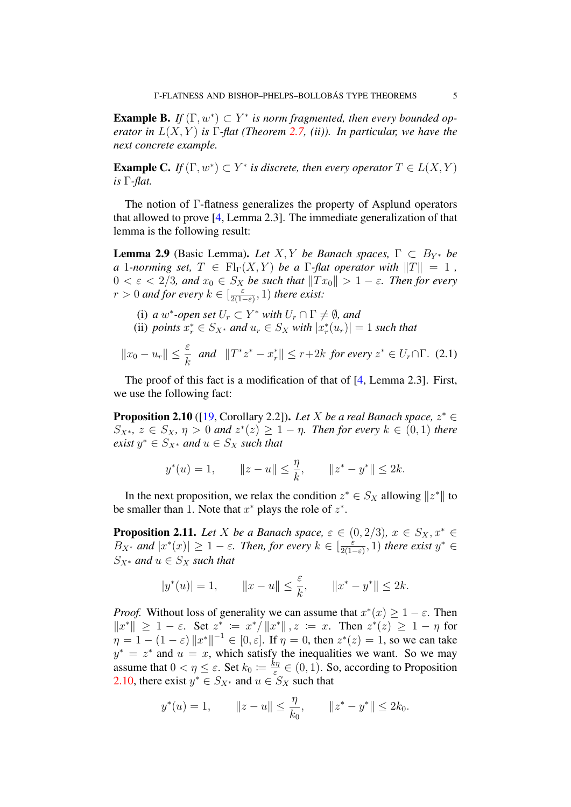**Example B.** If  $(\Gamma, w^*) \subset Y^*$  is norm fragmented, then every bounded op*erator in* L(X, Y ) *is* Γ*-flat (Theorem [2.7,](#page-4-1) (ii)). In particular, we have the next concrete example.*

<span id="page-5-4"></span>**Example C.** *If*  $(\Gamma, w^*) \subset Y^*$  *is discrete, then every operator*  $T \in L(X, Y)$ *is* Γ*-flat.*

The notion of Γ-flatness generalizes the property of Asplund operators that allowed to prove [\[4,](#page-23-2) Lemma 2.3]. The immediate generalization of that lemma is the following result:

<span id="page-5-1"></span>**Lemma 2.9** (Basic Lemma). *Let* X, Y *be Banach spaces*,  $\Gamma \subset B_{Y^*}$  *be a* 1*-norming set,*  $T \in Fl_{\Gamma}(X, Y)$  *be a*  $\Gamma$ *-flat operator with*  $||T|| = 1$ ,  $0 < \varepsilon < 2/3$ , and  $x_0 \in S_X$  be such that  $||Tx_0|| > 1 - \varepsilon$ . Then for every  $r > 0$  and for every  $k \in \left[\frac{\varepsilon}{2(1 - \varepsilon)}\right]$  $\frac{\varepsilon}{2(1-\varepsilon)}$ , 1) there exist:

- (i) *a*  $w^*$ -open set  $U_r \subset Y^*$  with  $U_r \cap \Gamma \neq \emptyset$ , and
- (ii) *points*  $x_r^* \in S_{X^*}$  *and*  $u_r \in S_X$  *with*  $|x_r^*(u_r)| = 1$  *such that*

<span id="page-5-3"></span>
$$
||x_0 - u_r|| \leq \frac{\varepsilon}{k} \quad \text{and} \quad ||T^*z^* - x_r^*|| \leq r + 2k \quad \text{for every } z^* \in U_r \cap \Gamma. \tag{2.1}
$$

The proof of this fact is a modification of that of [\[4,](#page-23-2) Lemma 2.3]. First, we use the following fact:

<span id="page-5-0"></span>**Proposition 2.10** ([\[19,](#page-24-6) Corollary 2.2]). Let X be a real Banach space,  $z^* \in$  $S_{X^*}, z \in S_X$ ,  $\eta > 0$  and  $z^*(z) \geq 1 - \eta$ . Then for every  $k \in (0,1)$  there  $\text{exist } y^* \in S_{X^*} \text{ and } u \in S_X \text{ such that}$ 

$$
y^*(u) = 1,
$$
  $||z - u|| \le \frac{\eta}{k},$   $||z^* - y^*|| \le 2k.$ 

In the next proposition, we relax the condition  $z^* \in S_X$  allowing  $||z^*||$  to be smaller than 1. Note that  $x^*$  plays the role of  $z^*$ .

<span id="page-5-2"></span>**Proposition 2.11.** *Let* X *be a Banach space,*  $\varepsilon \in (0, 2/3)$ *,*  $x \in S_X, x^* \in$  $B_{X^*}$  and  $|x^*(x)| \geq 1 - \varepsilon$ . Then, for every  $k \in \left[\frac{\varepsilon}{2(1 - \varepsilon)}\right]$  $\frac{\varepsilon}{2(1-\varepsilon)}$ , 1) *there exist*  $y^* \in$  $S_{X^*}$  *and*  $u \in S_X$  *such that* 

$$
|y^*(u)| = 1,
$$
  $||x - u|| \le \frac{\varepsilon}{k},$   $||x^* - y^*|| \le 2k.$ 

*Proof.* Without loss of generality we can assume that  $x^*(x) \geq 1 - \varepsilon$ . Then  $||x^*|| \ge 1 - \varepsilon$ . Set  $z^* := x^* / ||x^*||$ ,  $z := x$ . Then  $z^*(z) \ge 1 - \eta$  for  $\eta = 1 - (1 - \varepsilon) \|x^*\|^{-1} \in [0, \varepsilon]$ . If  $\eta = 0$ , then  $z^*(z) = 1$ , so we can take  $y^* = z^*$  and  $u = x$ , which satisfy the inequalities we want. So we may assume that  $0 < \eta \leq \varepsilon$ . Set  $k_0 := \frac{k\eta}{\varepsilon}$  $\frac{\epsilon \eta}{\epsilon} \in (0, 1)$ . So, according to Proposition [2.10,](#page-5-0) there exist  $y^* \in S_{X^*}$  and  $u \in S_X$  such that

$$
y^*(u) = 1,
$$
  $||z - u|| \le \frac{\eta}{k_0},$   $||z^* - y^*|| \le 2k_0.$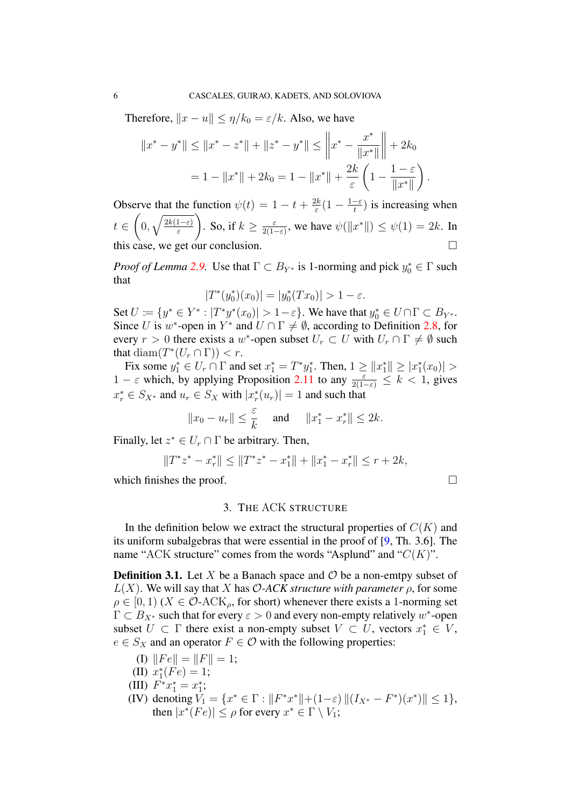Therefore,  $||x - u|| \leq \eta/k_0 = \varepsilon/k$ . Also, we have

$$
||x^* - y^*|| \le ||x^* - z^*|| + ||z^* - y^*|| \le ||x^* - \frac{x^*}{||x^*||} + 2k_0
$$
  
= 1 - ||x^\*|| + 2k\_0 = 1 - ||x^\*|| +  $\frac{2k}{\varepsilon}$  $\left(1 - \frac{1 - \varepsilon}{||x^*||}\right)$ .

Observe that the function  $\psi(t) = 1 - t + \frac{2k}{s}$  $\frac{2k}{\varepsilon}(1-\frac{1-\varepsilon}{t})$  $\frac{-\varepsilon}{t}$ ) is increasing when  $t \in$  $\sqrt{ }$  $0, \sqrt{\frac{2k(1-\varepsilon)}{\varepsilon}}$ ε ). . So, if  $k \geq \frac{\varepsilon}{2(1-\varepsilon)}$  $\frac{\varepsilon}{2(1-\varepsilon)}$ , we have  $\psi(\Vert x^* \Vert) \leq \psi(1) = 2k$ . In this case, we get our conclusion.

*Proof of Lemma* [2.9.](#page-5-1) Use that  $\Gamma \subset B_{Y^*}$  is 1-norming and pick  $y_0^* \in \Gamma$  such that

$$
|T^*(y_0^*)(x_0)| = |y_0^*(Tx_0)| > 1 - \varepsilon.
$$

Set  $U := \{y^* \in Y^* : |T^*y^*(x_0)| > 1 - \varepsilon\}$ . We have that  $y_0^* \in U \cap \Gamma \subset B_{Y^*}$ . Since U is w\*-open in Y\* and  $U \cap \Gamma \neq \emptyset$ , according to Definition [2.8,](#page-4-0) for every  $r > 0$  there exists a w<sup>\*</sup>-open subset  $U_r \subset U$  with  $U_r \cap \Gamma \neq \emptyset$  such that diam $(T^*(U_r \cap \Gamma)) < r$ .

Fix some  $y_1^* \in U_r \cap \Gamma$  and set  $x_1^* = T^*y_1^*$ . Then,  $1 \ge ||x_1^*|| \ge |x_1^*(x_0)| >$  $1 - \varepsilon$  which, by applying Proposition [2.11](#page-5-2) to any  $\frac{\varepsilon}{2(1-\varepsilon)} \leq k < 1$ , gives  $x_r^* \in S_{X^*}$  and  $u_r \in S_X$  with  $|x_r^*(u_r)| = 1$  and such that

$$
||x_0 - u_r|| \leq \frac{\varepsilon}{k}
$$
 and  $||x_1^* - x_r^*|| \leq 2k$ .

Finally, let  $z^* \in U_r \cap \Gamma$  be arbitrary. Then,

$$
||T^*z^* - x_r^*|| \le ||T^*z^* - x_1^*|| + ||x_1^* - x_r^*|| \le r + 2k,
$$

which finishes the proof.  $\Box$ 

#### 3. THE ACK STRUCTURE

In the definition below we extract the structural properties of  $C(K)$  and its uniform subalgebras that were essential in the proof of [\[9,](#page-23-3) Th. 3.6]. The name "ACK structure" comes from the words "Asplund" and " $C(K)$ ".

<span id="page-6-0"></span>**Definition 3.1.** Let X be a Banach space and  $\mathcal{O}$  be a non-emtpy subset of  $L(X)$ . We will say that X has O-ACK structure with parameter  $\rho$ , for some  $\rho \in [0, 1]$  ( $X \in \mathcal{O}$ -ACK<sub>o</sub>, for short) whenever there exists a 1-norming set  $\Gamma \subset B_{X^*}$  such that for every  $\varepsilon > 0$  and every non-empty relatively w<sup>\*</sup>-open subset  $U \subset \Gamma$  there exist a non-empty subset  $V \subset U$ , vectors  $x_1^* \in V$ ,  $e \in S_X$  and an operator  $F \in \mathcal{O}$  with the following properties:

- (I)  $||Fe|| = ||F|| = 1;$
- (II)  $x_1^*(Fe) = 1;$
- (III)  $F^*x_1^* = x_1^*$ ;
- (IV) denoting  $V_1 = \{x^* \in \Gamma : ||F^*x^*|| + (1-\varepsilon) ||(I_{X^*} F^*)(x^*)|| \le 1\},\$ then  $|x^*(Fe)| \le \rho$  for every  $x^* \in \Gamma \setminus V_1$ ;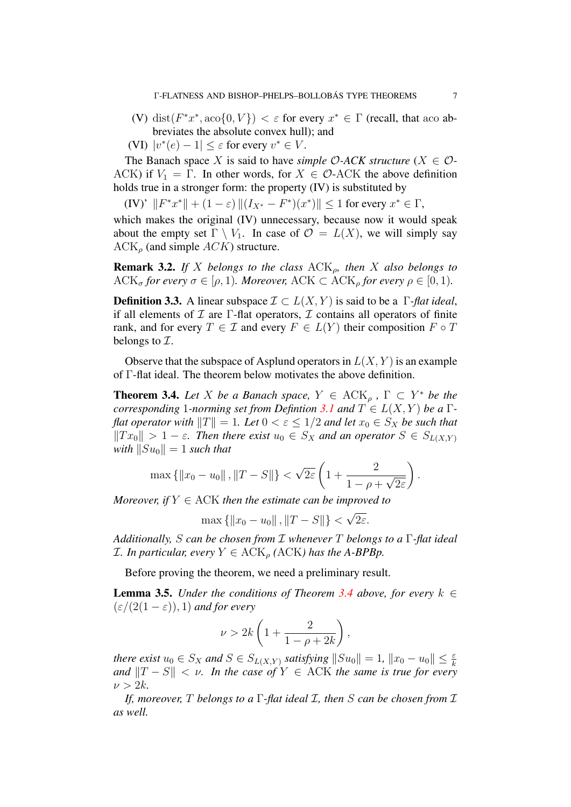- (V) dist( $F^*x^*$ , aco $\{0, V\}$ )  $\lt \varepsilon$  for every  $x^* \in \Gamma$  (recall, that aco abbreviates the absolute convex hull); and
- (VI)  $|v^*(e) 1| \leq \varepsilon$  for every  $v^* \in V$ .

The Banach space X is said to have *simple*  $O$ -ACK *structure* ( $X \in O$ -ACK) if  $V_1 = \Gamma$ . In other words, for  $X \in \mathcal{O}$ -ACK the above definition holds true in a stronger form: the property (IV) is substituted by

(IV)'  $||F^*x^*|| + (1 - \varepsilon) ||(I_{X^*} - F^*)(x^*)|| \le 1$  for every  $x^* \in \Gamma$ ,

which makes the original (IV) unnecessary, because now it would speak about the empty set  $\Gamma \setminus V_1$ . In case of  $\mathcal{O} = L(X)$ , we will simply say  $ACK<sub>o</sub>$  (and simple  $ACK$ ) structure.

Remark 3.2. *If* X *belongs to the class* ACKρ*, then* X *also belongs to* ACK<sub> $\sigma$ </sub> for every  $\sigma \in [\rho, 1)$ *. Moreover,* ACK  $\subset$  ACK<sub> $\rho$ </sub> for every  $\rho \in [0, 1)$ *.* 

**Definition 3.3.** A linear subspace  $\mathcal{I} \subset L(X, Y)$  is said to be a  $\Gamma$ -flat ideal, if all elements of  $\mathcal I$  are  $\Gamma$ -flat operators,  $\mathcal I$  contains all operators of finite rank, and for every  $T \in \mathcal{I}$  and every  $F \in L(Y)$  their composition  $F \circ T$ belongs to  $\mathcal{I}$ .

Observe that the subspace of Asplund operators in  $L(X, Y)$  is an example of Γ-flat ideal. The theorem below motivates the above definition.

<span id="page-7-0"></span>**Theorem 3.4.** Let X be a Banach space,  $Y \in ACK_{\rho}$ ,  $\Gamma \subset Y^*$  be the *corresponding* 1*-norming set from Defintion* [3.1](#page-6-0) *and*  $T \in L(X, Y)$  *be a* Γ*flat operator with*  $||T|| = 1$ *. Let*  $0 < \varepsilon \leq 1/2$  *and let*  $x_0 \in S_X$  *be such that*  $||Tx_0|| > 1 - \varepsilon$ . Then there exist  $u_0 \in S_X$  and an operator  $S \in S_{L(X,Y)}$ *with*  $||Su_0|| = 1$  *such that* 

$$
\max\left\{\|x_0 - u_0\| \, , \|T - S\|\right\} < \sqrt{2\varepsilon} \left(1 + \frac{2}{1 - \rho + \sqrt{2\varepsilon}}\right).
$$

*Moreover, if*  $Y \in ACK$  *then the estimate can be improved to*  $^{\prime}$ 

$$
\max\{\|x_0 - u_0\|, \|T - S\|\} < \sqrt{2\varepsilon}.
$$

*Additionally,* S *can be chosen from* I *whenever* T *belongs to a* Γ*-flat ideal I*. In particular, every  $Y \in \text{ACK}_p(ACK)$  has the A-BPBp.

Before proving the theorem, we need a preliminary result.

<span id="page-7-1"></span>**Lemma 3.5.** *Under the conditions of Theorem [3.4](#page-7-0) above, for every*  $k \in$  $(\varepsilon/(2(1-\varepsilon)), 1)$  *and for every* 

$$
\nu > 2k\left(1 + \frac{2}{1 - \rho + 2k}\right),\,
$$

*there exist*  $u_0 \in S_X$  and  $S \in S_{L(X,Y)}$  satisfying  $||Su_0|| = 1$ ,  $||x_0 - u_0|| \leq \frac{\varepsilon}{k}$ *and*  $||T - S|| < v$ . In the case of  $Y \in ACK$  the same is true for every  $\nu > 2k$ .

*If, moreover,* T *belongs to a* Γ*-flat ideal* I*, then* S *can be chosen from* I *as well.*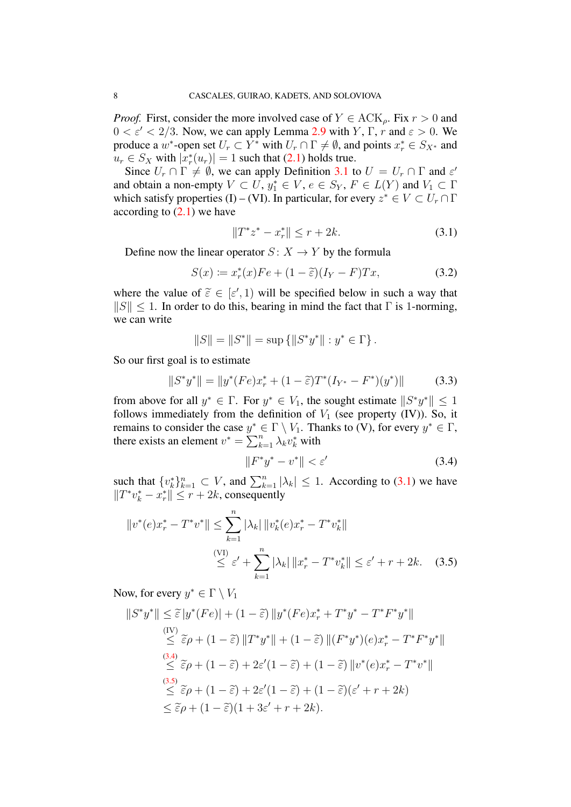*Proof.* First, consider the more involved case of  $Y \in \text{ACK}_\rho$ . Fix  $r > 0$  and  $0 < \varepsilon' < 2/3$ . Now, we can apply Lemma [2.9](#page-5-1) with Y,  $\Gamma$ , r and  $\varepsilon > 0$ . We produce a  $w^*$ -open set  $U_r \subset Y^*$  with  $U_r \cap \Gamma \neq \emptyset$ , and points  $x_r^* \in S_{X^*}$  and  $u_r \in S_X$  with  $|x_r^*(u_r)| = 1$  such that  $(2.1)$  holds true.

Since  $U_r \cap \Gamma \neq \emptyset$ , we can apply Definition [3.1](#page-6-0) to  $U = U_r \cap \Gamma$  and  $\varepsilon'$ and obtain a non-empty  $V \subset U$ ,  $y_1^* \in V$ ,  $e \in S_Y$ ,  $F \in L(Y)$  and  $V_1 \subset \Gamma$ which satisfy properties (I) – (VI). In particular, for every  $z^* \in V \subset U_r \cap \Gamma$ according to  $(2.1)$  we have

<span id="page-8-0"></span>
$$
||T^*z^* - x_r^*|| \le r + 2k. \tag{3.1}
$$

Define now the linear operator  $S: X \to Y$  by the formula

<span id="page-8-3"></span>
$$
S(x) := x_r^*(x) F e + (1 - \tilde{\varepsilon})(I_Y - F) Tx,
$$
 (3.2)

where the value of  $\tilde{\varepsilon} \in [\varepsilon', 1]$  will be specified below in such a way that  $||S|| < 1$ . In order to do this bearing in mind the fact that  $\Gamma$  is 1-norming  $||S|| \leq 1$ . In order to do this, bearing in mind the fact that  $\Gamma$  is 1-norming, we can write

$$
||S|| = ||S^*|| = \sup \{ ||S^*y^*|| : y^* \in \Gamma \}.
$$

So our first goal is to estimate

$$
||S^*y^*|| = ||y^*(Fe)x^* + (1 - \tilde{\varepsilon})T^*(I_{Y^*} - F^*)(y^*)|| \qquad (3.3)
$$

from above for all  $y^* \in \Gamma$ . For  $y^* \in V_1$ , the sought estimate  $||S^*y^*|| \leq 1$ follows immediately from the definition of  $V_1$  (see property (IV)). So, it remains to consider the case  $y^* \in \Gamma \setminus V_1$ . Thanks to (V), for every  $y^* \in \Gamma$ , there exists an element  $v^* = \sum_{k=1}^n \lambda_k v_k^*$  with

<span id="page-8-2"></span><span id="page-8-1"></span>
$$
\|F^*y^* - v^*\| < \varepsilon' \tag{3.4}
$$

such that  $\{v_k^*\}_{k=1}^n \subset V$ , and  $\sum_{k=1}^n |\lambda_k| \leq 1$ . According to [\(3.1\)](#page-8-0) we have  $||T^*v_k^* - x_r^*|| \leq r + 2k$ , consequently

$$
||v^*(e)x_r^* - T^*v^*|| \le \sum_{k=1}^n |\lambda_k| ||v_k^*(e)x_r^* - T^*v_k^*||
$$
  

$$
\le \varepsilon' + \sum_{k=1}^n |\lambda_k| ||x_r^* - T^*v_k^*|| \le \varepsilon' + r + 2k. \quad (3.5)
$$

Now, for every  $y^* \in \Gamma \setminus V_1$ 

$$
||S^*y^*|| \leq \tilde{\varepsilon}|y^*(Fe)| + (1 - \tilde{\varepsilon})||y^*(Fe)x_r^* + T^*y^* - T^*F^*y^*||
$$
  
\n
$$
\leq \tilde{\varepsilon}\rho + (1 - \tilde{\varepsilon})||T^*y^*|| + (1 - \tilde{\varepsilon})||(F^*y^*)(e)x_r^* - T^*F^*y^*||
$$
  
\n
$$
\leq \tilde{\varepsilon}\rho + (1 - \tilde{\varepsilon}) + 2\varepsilon'(1 - \tilde{\varepsilon}) + (1 - \tilde{\varepsilon})||v^*(e)x_r^* - T^*v^*||
$$
  
\n
$$
\leq \tilde{\varepsilon}\rho + (1 - \tilde{\varepsilon}) + 2\varepsilon'(1 - \tilde{\varepsilon}) + (1 - \tilde{\varepsilon})(\varepsilon' + r + 2k)
$$
  
\n
$$
\leq \tilde{\varepsilon}\rho + (1 - \tilde{\varepsilon})(1 + 3\varepsilon' + r + 2k).
$$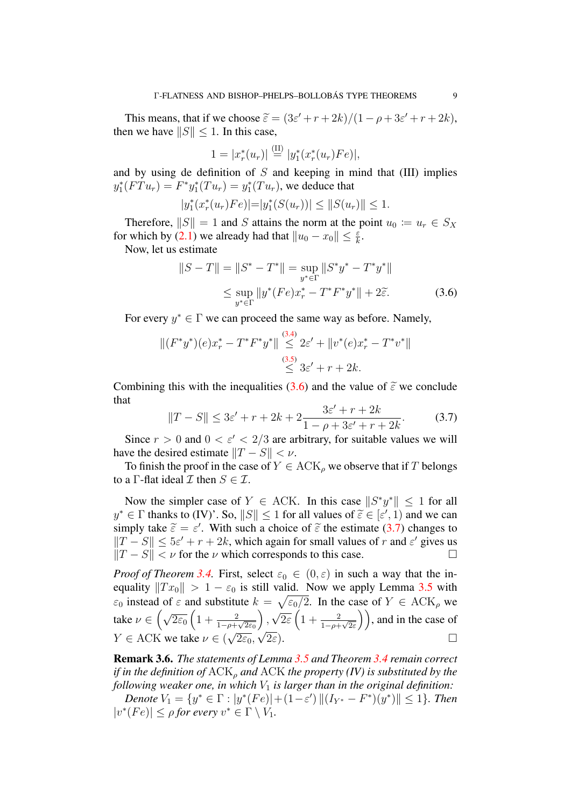This means, that if we choose  $\tilde{\varepsilon} = (3\varepsilon' + r + 2k)/(1 - \rho + 3\varepsilon' + r + 2k)$ , then we have  $||S|| \leq 1$ . In this case,

$$
1 = |x_r^*(u_r)| \stackrel{\text{(II)}}{=} |y_1^*(x_r^*(u_r)Fe)|,
$$

and by using de definition of  $S$  and keeping in mind that (III) implies  $y_1^*(FTu_r) = F^*y_1^*(Tu_r) = y_1^*(Tu_r)$ , we deduce that

$$
|y_1^*(x_r^*(u_r)Fe)| = |y_1^*(S(u_r))| \leq ||S(u_r)|| \leq 1.
$$

Therefore,  $||S|| = 1$  and S attains the norm at the point  $u_0 \coloneqq u_r \in S_X$ for which by [\(2.1\)](#page-5-3) we already had that  $||u_0 - x_0|| \leq \frac{\varepsilon}{k}$ .

Now, let us estimate

<span id="page-9-0"></span>
$$
||S - T|| = ||S^* - T^*|| = \sup_{y^* \in \Gamma} ||S^*y^* - T^*y^*||
$$
  
\n
$$
\leq \sup_{y^* \in \Gamma} ||y^*(Fe)x^*_r - T^*F^*y^*|| + 2\tilde{\varepsilon}.
$$
 (3.6)

For every  $y^* \in \Gamma$  we can proceed the same way as before. Namely,

$$
||(F^*y^*)(e)x_r^* - T^*F^*y^*|| \overset{(3.4)}{\leq} 2\varepsilon' + ||v^*(e)x_r^* - T^*v^*||
$$
  

$$
\overset{(3.5)}{\leq} 3\varepsilon' + r + 2k.
$$

Combining this with the inequalities [\(3.6\)](#page-9-0) and the value of  $\tilde{\varepsilon}$  we conclude that

<span id="page-9-1"></span>
$$
||T - S|| \le 3\varepsilon' + r + 2k + 2\frac{3\varepsilon' + r + 2k}{1 - \rho + 3\varepsilon' + r + 2k}.
$$
 (3.7)

Since  $r > 0$  and  $0 < \varepsilon' < 2/3$  are arbitrary, for suitable values we will have the desired estimate  $||T - S|| < \nu$ .

To finish the proof in the case of  $Y \in ACK$ <sub>o</sub> we observe that if T belongs to a Γ-flat ideal  $\mathcal I$  then  $S \in \mathcal I$ .

Now the simpler case of  $Y \in ACK$ . In this case  $||S^*y^*|| \le 1$  for all  $y^* \in \Gamma$  thanks to (IV)'. So,  $||S|| \le 1$  for all values of  $\tilde{\varepsilon} \in [\varepsilon', 1)$  and we can<br>simply take  $\tilde{\varepsilon} = \varepsilon'$ . With such a choice of  $\tilde{\varepsilon}$  the estimate (3.7) changes to simply take  $\tilde{\varepsilon} = \varepsilon'$ . With such a choice of  $\tilde{\varepsilon}$  the estimate [\(3.7\)](#page-9-1) changes to  $||T - S|| < 5\varepsilon' + r + 2k$  which again for small values of x and  $\varepsilon'$  gives us  $||T - S|| \le 5\varepsilon' + r + 2k$ , which again for small values of r and  $\varepsilon'$  gives us  $||T - S|| < v$  for the *v* which corresponds to this case.

*Proof of Theorem* [3.4.](#page-7-0) First, select  $\varepsilon_0 \in (0, \varepsilon)$  in such a way that the inequality  $||Tx_0|| > 1 - \varepsilon_0$  is still valid. Now we apply Lemma [3.5](#page-7-1) with  $\varepsilon_0$  instead of  $\varepsilon$  and substitute  $k = \sqrt{\varepsilon_0/2}$ . In the case of  $Y \in \text{ACK}_{\rho}$  we take  $\nu \in \left(\sqrt{2\varepsilon_0}\left(1 + \frac{2}{1-\rho+\sqrt{2\varepsilon_0}}\right)\right)$  $\big)$ , √  $\overline{2\varepsilon}\left(1+\frac{2}{1-\rho+\sqrt{2\varepsilon}}\right)$ , and in the case of  $Y \in \text{ACK}$  we take  $\nu \in (\sqrt{2\varepsilon_0},$  $\sqrt{2\varepsilon_0}, \sqrt{2\varepsilon}$ ).

Remark 3.6. *The statements of Lemma [3.5](#page-7-1) and Theorem [3.4](#page-7-0) remain correct if in the definition of*  $ACK_{\rho}$  *and*  $ACK$  *the property (IV) is substituted by the following weaker one, in which*  $V_1$  *is larger than in the original definition:* 

 $Denote V_1 = \{y^* \in \Gamma : |y^*(Fe)| + (1 - \varepsilon') ||(I_{Y^*} - F^*)(y^*)|| \le 1\}.$  Then  $|v^*(Fe)| \leq \rho$  for every  $v^* \in \Gamma \setminus V_1$ .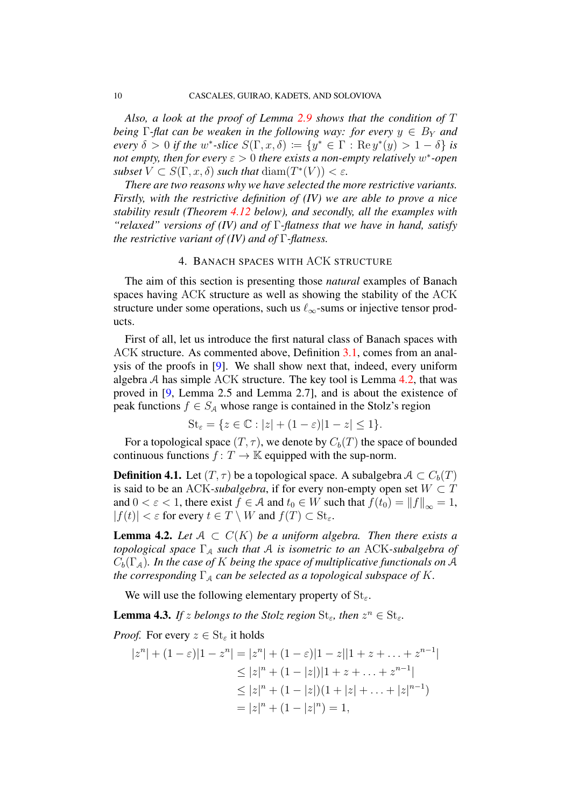*Also, a look at the proof of Lemma [2.9](#page-5-1) shows that the condition of* T *being*  $\Gamma$ -flat can be weaken in the following way: for every  $y \in B_Y$  and *every*  $\delta > 0$  *if the*  $w^*$ -*slice*  $S(\Gamma, x, \delta) := \{y^* \in \Gamma : \text{Re } y^*(y) > 1 - \delta\}$  *is not empty, then for every*  $ε > 0$  *there exists a non-empty relatively*  $w^*$ -open *subset*  $V \subset S(\Gamma, x, \delta)$  *such that*  $\text{diam}(T^*(V)) < \varepsilon$ *.* 

*There are two reasons why we have selected the more restrictive variants. Firstly, with the restrictive definition of (IV) we are able to prove a nice stability result (Theorem [4.12](#page-14-0) below), and secondly, all the examples with "relaxed" versions of (IV) and of* Γ*-flatness that we have in hand, satisfy the restrictive variant of (IV) and of* Γ*-flatness.*

# 4. BANACH SPACES WITH ACK STRUCTURE

The aim of this section is presenting those *natural* examples of Banach spaces having ACK structure as well as showing the stability of the ACK structure under some operations, such us  $\ell_{\infty}$ -sums or injective tensor products.

First of all, let us introduce the first natural class of Banach spaces with ACK structure. As commented above, Definition [3.1,](#page-6-0) comes from an analysis of the proofs in [\[9\]](#page-23-3). We shall show next that, indeed, every uniform algebra  $A$  has simple ACK structure. The key tool is Lemma  $4.2$ , that was proved in [\[9,](#page-23-3) Lemma 2.5 and Lemma 2.7], and is about the existence of peak functions  $f \in S_A$  whose range is contained in the Stolz's region

$$
\mathrm{St}_{\varepsilon} = \{ z \in \mathbb{C} : |z| + (1 - \varepsilon)|1 - z| \le 1 \}.
$$

For a topological space  $(T, \tau)$ , we denote by  $C_b(T)$  the space of bounded continuous functions  $f: T \to \mathbb{K}$  equipped with the sup-norm.

<span id="page-10-1"></span>**Definition 4.1.** Let  $(T, \tau)$  be a topological space. A subalgebra  $A \subset C_b(T)$ is said to be an ACK-*subalgebra*, if for every non-empty open set  $W \subset T$ and  $0 < \varepsilon < 1$ , there exist  $f \in \mathcal{A}$  and  $t_0 \in W$  such that  $f(t_0) = ||f||_{\infty} = 1$ ,  $|f(t)| < \varepsilon$  for every  $t \in T \setminus W$  and  $f(T) \subset \text{St}_{\varepsilon}$ .

<span id="page-10-0"></span>**Lemma 4.2.** Let  $A \subset C(K)$  be a uniform algebra. Then there exists a *topological space* Γ<sub>A</sub> *such that* A *is isometric to an* ACK-*subalgebra of*  $C_b(\Gamma_A)$ *. In the case of K being the space of multiplicative functionals on* A *the corresponding*  $\Gamma_A$  *can be selected as a topological subspace of* K.

We will use the following elementary property of  $St_{\epsilon}$ .

<span id="page-10-2"></span>**Lemma 4.3.** If z belongs to the Stolz region  $\text{St}_{\varepsilon}$ , then  $z^n \in \text{St}_{\varepsilon}$ .

*Proof.* For every  $z \in \text{St}_{\varepsilon}$  it holds

$$
|z^{n}| + (1 - \varepsilon)|1 - z^{n}| = |z^{n}| + (1 - \varepsilon)|1 - z||1 + z + \dots + z^{n-1}|
$$
  
\n
$$
\leq |z|^{n} + (1 - |z|)|1 + z + \dots + z^{n-1}|
$$
  
\n
$$
\leq |z|^{n} + (1 - |z|)(1 + |z| + \dots + |z|^{n-1})
$$
  
\n
$$
= |z|^{n} + (1 - |z|^{n}) = 1,
$$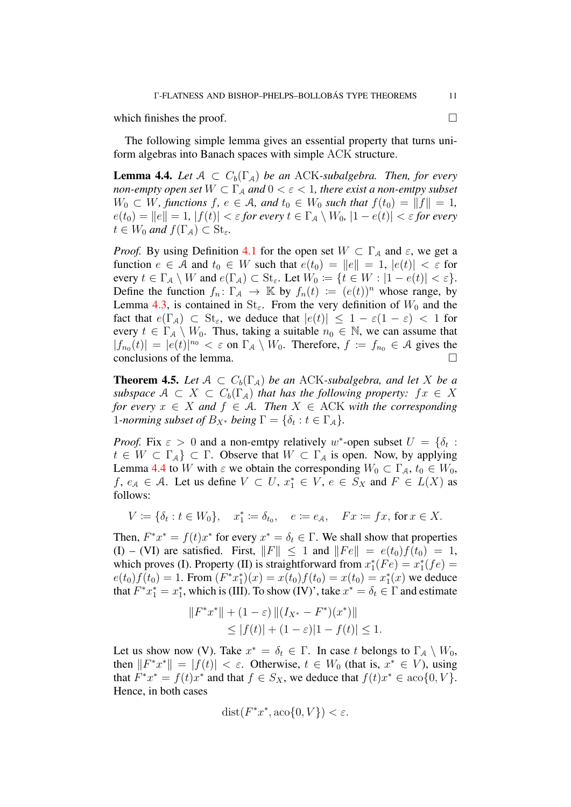which finishes the proof.  $\Box$ 

The following simple lemma gives an essential property that turns uniform algebras into Banach spaces with simple ACK structure.

<span id="page-11-0"></span>**Lemma 4.4.** Let  $A \subset C_b(\Gamma_A)$  be an ACK-subalgebra. Then, for every *non-empty open set*  $W \subset \Gamma_A$  *and*  $0 < \varepsilon < 1$ *, there exist a non-emtpy subset*  $W_0 \subset W$ , functions  $f, e \in A$ , and  $t_0 \in W_0$  such that  $f(t_0) = ||f|| = 1$ ,  $e(t_0) = ||e|| = 1, |f(t)| < \varepsilon$  *for every*  $t \in \Gamma_A \setminus W_0, |1 - e(t)| < \varepsilon$  *for every*  $t \in W_0$  and  $f(\Gamma_A) \subset \text{St}_{\varepsilon}$ .

*Proof.* By using Definition [4.1](#page-10-1) for the open set  $W \subset \Gamma_A$  and  $\varepsilon$ , we get a function  $e \in A$  and  $t_0 \in W$  such that  $e(t_0) = ||e|| = 1$ ,  $|e(t)| < \varepsilon$  for every  $t \in \Gamma_A \setminus W$  and  $e(\Gamma_A) \subset \text{St}_{\varepsilon}$ . Let  $W_0 \coloneqq \{t \in W : |1 - e(t)| < \varepsilon\}$ . Define the function  $f_n: \Gamma_A \to \mathbb{K}$  by  $f_n(t) := (e(t))^n$  whose range, by Lemma [4.3,](#page-10-2) is contained in  $St_{\varepsilon}$ . From the very definition of  $W_0$  and the fact that  $e(\Gamma_{\mathcal{A}}) \subset St_{\varepsilon}$ , we deduce that  $|e(t)| \leq 1 - \varepsilon(1-\varepsilon) < 1$  for every  $t \in \Gamma_A \setminus W_0$ . Thus, taking a suitable  $n_0 \in \mathbb{N}$ , we can assume that  $|f_{n_0}(t)| = |e(t)|^{n_0} < \varepsilon$  on  $\Gamma_A \setminus W_0$ . Therefore,  $f := f_{n_0} \in A$  gives the conclusions of the lemma.

<span id="page-11-1"></span>**Theorem 4.5.** Let  $A \subset C_b(\Gamma_A)$  be an ACK-subalgebra, and let X be a *subspace*  $A \subset X \subset C_b(\Gamma_A)$  *that has the following property:*  $fx \in X$ *for every*  $x \in X$  *and*  $f \in A$ *. Then*  $X \in ACK$  *with the corresponding* 1-norming subset of  $B_{X^*}$  being  $\Gamma = \{\delta_t : t \in \Gamma_A\}.$ 

*Proof.* Fix  $\varepsilon > 0$  and a non-emtpy relatively w\*-open subset  $U = \{\delta_t : S_t\}$  $t \in W \subset \Gamma_A$   $\subset \Gamma$ . Observe that  $W \subset \Gamma_A$  is open. Now, by applying Lemma [4.4](#page-11-0) to W with  $\varepsilon$  we obtain the corresponding  $W_0 \subset \Gamma_A$ ,  $t_0 \in W_0$ ,  $f, e_{\mathcal{A}} \in \mathcal{A}$ . Let us define  $V \subset U$ ,  $x_1^* \in V$ ,  $e \in S_X$  and  $F \in L(X)$  as follows:

$$
V := \{ \delta_t : t \in W_0 \}, \quad x_1^* := \delta_{t_0}, \quad e := e_{\mathcal{A}}, \quad Fx := fx, \text{ for } x \in X.
$$

Then,  $F^*x^* = f(t)x^*$  for every  $x^* = \delta_t \in \Gamma$ . We shall show that properties (I) – (VI) are satisfied. First,  $||F|| \le 1$  and  $||Fe|| = e(t_0)f(t_0) = 1$ , which proves (I). Property (II) is straightforward from  $x_1^*(Fe) = x_1^*(fe) =$  $e(t_0) f(t_0) = 1$ . From  $(F^*x_1^*)(x) = x(t_0) f(t_0) = x(t_0) = x_1^*(x)$  we deduce that  $F^*x_1^* = x_1^*$ , which is (III). To show (IV)', take  $x^* = \delta_t \in \Gamma$  and estimate

$$
||F^*x^*|| + (1 - \varepsilon) ||(I_{X^*} - F^*)(x^*)||
$$
  
\n
$$
\leq |f(t)| + (1 - \varepsilon)|1 - f(t)| \leq 1.
$$

Let us show now (V). Take  $x^* = \delta_t \in \Gamma$ . In case t belongs to  $\Gamma_A \setminus W_0$ , then  $||F^*x^*|| = |f(t)| < \varepsilon$ . Otherwise,  $t \in W_0$  (that is,  $x^* \in V$ ), using that  $F^*x^* = f(t)x^*$  and that  $f \in S_X$ , we deduce that  $f(t)x^* \in \text{aco}\{0, V\}$ . Hence, in both cases

$$
dist(F^*x^*, aco\{0, V\}) < \varepsilon.
$$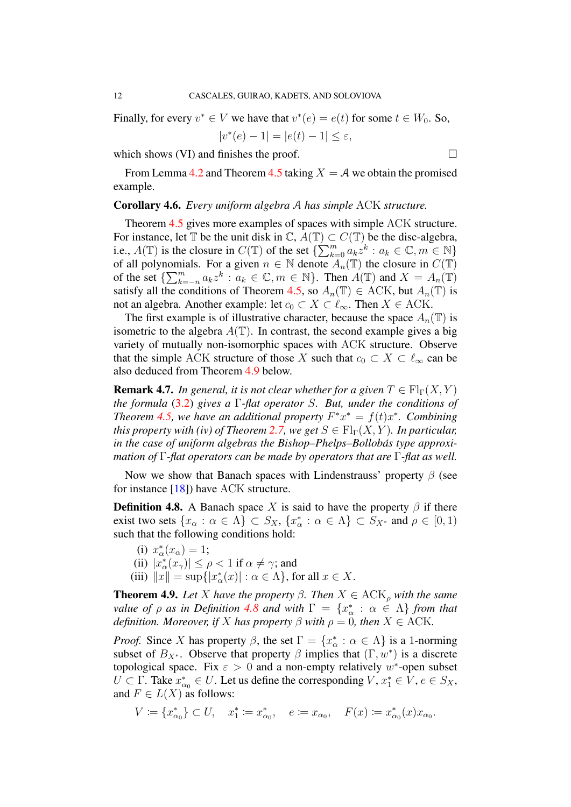Finally, for every  $v^* \in V$  we have that  $v^*(e) = e(t)$  for some  $t \in W_0$ . So,

$$
|v^*(e) - 1| = |e(t) - 1| \le \varepsilon,
$$

which shows (VI) and finishes the proof.  $\Box$ 

From Lemma [4.2](#page-10-0) and Theorem [4.5](#page-11-1) taking  $X = A$  we obtain the promised example.

# <span id="page-12-2"></span>Corollary 4.6. *Every uniform algebra* A *has simple* ACK *structure.*

Theorem [4.5](#page-11-1) gives more examples of spaces with simple ACK structure. For instance, let  $\mathbb T$  be the unit disk in  $\mathbb C$ ,  $A(\mathbb T) \subset C(\mathbb T)$  be the disc-algebra, i.e.,  $A(\mathbb{T})$  is the closure in  $C(\mathbb{T})$  of the set  $\{\sum_{k=0}^{m} a_k z^k : a_k \in \mathbb{C}, m \in \mathbb{N}\}\$ of all polynomials. For a given  $n \in \mathbb{N}$  denote  $\overline{A_n}(\mathbb{T})$  the closure in  $C(\mathbb{T})$ of the set  $\{\sum_{k=-n}^{m} a_k z^k : a_k \in \mathbb{C}, m \in \mathbb{N}\}\$ . Then  $A(\mathbb{T})$  and  $X = A_n(\mathbb{T})$ satisfy all the conditions of Theorem [4.5,](#page-11-1) so  $A_n(\mathbb{T}) \in ACK$ , but  $A_n(\mathbb{T})$  is not an algebra. Another example: let  $c_0 \subset X \subset \ell_{\infty}$ . Then  $X \in ACK$ .

The first example is of illustrative character, because the space  $A_n(\mathbb{T})$  is isometric to the algebra  $A(\mathbb{T})$ . In contrast, the second example gives a big variety of mutually non-isomorphic spaces with ACK structure. Observe that the simple ACK structure of those X such that  $c_0 \subset X \subset \ell_\infty$  can be also deduced from Theorem [4.9](#page-12-1) below.

**Remark 4.7.** *In general, it is not clear whether for a given*  $T \in Fl_\Gamma(X, Y)$ *the formula* [\(3.2\)](#page-8-3) *gives a* Γ*-flat operator* S*. But, under the conditions of Theorem [4.5,](#page-11-1) we have an additional property*  $F^*x^* = f(t)x^*$ *. Combining this property with (iv) of Theorem [2.7,](#page-4-1) we get*  $S \in Fl_{\Gamma}(X, Y)$ *. In particular, in the case of uniform algebras the Bishop–Phelps–Bollobás type approximation of* Γ*-flat operators can be made by operators that are* Γ*-flat as well.*

Now we show that Banach spaces with Lindenstrauss' property  $\beta$  (see for instance [\[18\]](#page-24-7)) have ACK structure.

<span id="page-12-0"></span>**Definition 4.8.** A Banach space X is said to have the property  $\beta$  if there exist two sets  $\{x_\alpha : \alpha \in \Lambda\} \subset S_X$ ,  $\{x_\alpha^* : \alpha \in \Lambda\} \subset S_{X^*}$  and  $\rho \in [0,1)$ such that the following conditions hold:

(i)  $x_{\alpha}^{*}(x_{\alpha}) = 1;$ (ii)  $|x^*_{\alpha}(x_{\gamma})| \leq \rho < 1$  if  $\alpha \neq \gamma$ ; and (iii)  $||x|| = \sup\{|x_\alpha^*(x)| : \alpha \in \Lambda\}$ , for all  $x \in X$ .

<span id="page-12-1"></span>**Theorem 4.9.** *Let* X *have the property*  $\beta$ *. Then*  $X \in ACK_{\rho}$  *with the same value of*  $\rho$  *as in Definition [4.8](#page-12-0) and with*  $\Gamma = \{x^*_\alpha : \alpha \in \Lambda\}$  *from that definition. Moreover, if* X *has property*  $\beta$  *with*  $\rho = 0$ *, then*  $X \in ACK$ *.* 

*Proof.* Since X has property  $\beta$ , the set  $\Gamma = \{x_{\alpha}^* : \alpha \in \Lambda\}$  is a 1-norming subset of  $B_{X^*}$ . Observe that property  $\beta$  implies that  $(\Gamma, w^*)$  is a discrete topological space. Fix  $\varepsilon > 0$  and a non-empty relatively w\*-open subset  $U \subset \Gamma$ . Take  $x_{\alpha_0}^* \in U$ . Let us define the corresponding  $V, x_1^* \in V, e \in S_X$ , and  $F \in L(X)$  as follows:

$$
V \coloneqq \{x^*_{\alpha_0}\} \subset U, \quad x^*_1 \coloneqq x^*_{\alpha_0}, \quad e \coloneqq x_{\alpha_0}, \quad F(x) \coloneqq x^*_{\alpha_0}(x) x_{\alpha_0}.
$$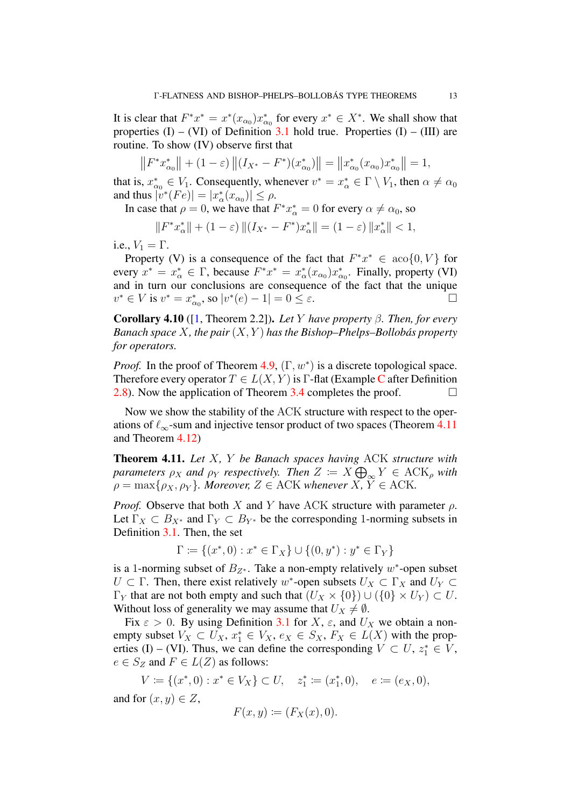It is clear that  $F^*x^* = x^*(x_{\alpha_0})x_{\alpha_0}^*$  for every  $x^* \in X^*$ . We shall show that properties  $(I) - (VI)$  of Definition [3.1](#page-6-0) hold true. Properties  $(I) - (III)$  are routine. To show (IV) observe first that

$$
||F^*x_{\alpha_0}^*|| + (1 - \varepsilon) ||(I_{X^*} - F^*)(x_{\alpha_0}^*)|| = ||x_{\alpha_0}^*(x_{\alpha_0})x_{\alpha_0}^*|| = 1,
$$

that is,  $x_{\alpha_0}^* \in V_1$ . Consequently, whenever  $v^* = x_{\alpha}^* \in \Gamma \setminus V_1$ , then  $\alpha \neq \alpha_0$ and thus  $|v^*(Fe)| = |x^*_{\alpha}(x_{\alpha_0})| \le \rho$ .

In case that  $\rho = 0$ , we have that  $F^*x^*_{\alpha} = 0$  for every  $\alpha \neq \alpha_0$ , so

$$
||F^*x^*_{\alpha}|| + (1 - \varepsilon) ||(I_{X^*} - F^*)x^*_{\alpha}|| = (1 - \varepsilon) ||x^*_{\alpha}|| < 1,
$$

i.e.,  $V_1 = \Gamma$ .

Property (V) is a consequence of the fact that  $F^*x^* \in \text{aco}\{0, V\}$  for every  $x^* = x^*_{\alpha} \in \Gamma$ , because  $F^*x^* = x^*_{\alpha}(x_{\alpha_0})x^*_{\alpha_0}$ . Finally, property (VI) and in turn our conclusions are consequence of the fact that the unique  $v^* \in V$  is  $v^* = x_{\alpha_0}^*$ , so  $|v^*(e) - 1| = 0 \le \varepsilon$ .

Corollary 4.10 ([\[1,](#page-23-0) Theorem 2.2]). *Let* Y *have property* β*. Then, for every Banach space*  $X$ *, the pair*  $(X, Y)$  *has the Bishop–Phelps–Bollobás property for operators.*

*Proof.* In the proof of Theorem [4.9,](#page-12-1)  $(\Gamma, w^*)$  is a discrete topological space. Therefore every operator  $T \in L(X, Y)$  is  $\Gamma$ -flat (Example [C](#page-5-4) after Definition [2.8\)](#page-4-0). Now the application of Theorem [3.4](#page-7-0) completes the proof.  $\Box$ 

Now we show the stability of the ACK structure with respect to the operations of  $\ell_{\infty}$ -sum and injective tensor product of two spaces (Theorem [4.11](#page-13-0)) and Theorem [4.12\)](#page-14-0)

<span id="page-13-0"></span>Theorem 4.11. *Let* X*,* Y *be Banach spaces having* ACK *structure with*  $\alpha$  *parameters*  $\rho_X$  *and*  $\rho_Y$  *respectively. Then*  $Z \coloneqq X \bigoplus_{\infty} Y \in \text{ACK}_\rho$  with  $\rho = \max\{\rho_X, \rho_Y\}$ *. Moreover,*  $Z \in ACK$  *whenever*  $X, Y \in ACK$ *.* 

*Proof.* Observe that both X and Y have ACK structure with parameter  $\rho$ . Let  $\Gamma_X \subset B_{X^*}$  and  $\Gamma_Y \subset B_{Y^*}$  be the corresponding 1-norming subsets in Definition [3.1.](#page-6-0) Then, the set

$$
\Gamma \coloneqq \{(x^*, 0) : x^* \in \Gamma_X\} \cup \{(0, y^*) : y^* \in \Gamma_Y\}
$$

is a 1-norming subset of  $B_{Z^*}$ . Take a non-empty relatively  $w^*$ -open subset  $U \subset \Gamma$ . Then, there exist relatively w<sup>\*</sup>-open subsets  $U_X \subset \Gamma_X$  and  $U_Y \subset$  $\Gamma_Y$  that are not both empty and such that  $(U_X \times \{0\}) \cup (\{0\} \times U_Y) \subset U$ . Without loss of generality we may assume that  $U_X \neq \emptyset$ .

Fix  $\varepsilon > 0$ . By using Definition [3.1](#page-6-0) for X,  $\varepsilon$ , and  $U_X$  we obtain a nonempty subset  $V_X \subset U_X$ ,  $x_1^* \in V_X$ ,  $e_X \in S_X$ ,  $F_X \in L(X)$  with the properties (I) – (VI). Thus, we can define the corresponding  $V \subset U$ ,  $z_1^* \in V$ ,  $e \in S_Z$  and  $F \in L(Z)$  as follows:

 $V \coloneqq \{(x^*, 0) : x^* \in V_X\} \subset U, \quad z_1^* \coloneqq (x_1^*, 0), \quad e \coloneqq (e_X, 0),$ and for  $(x, y) \in Z$ ,

$$
F(x, y) := (F_X(x), 0).
$$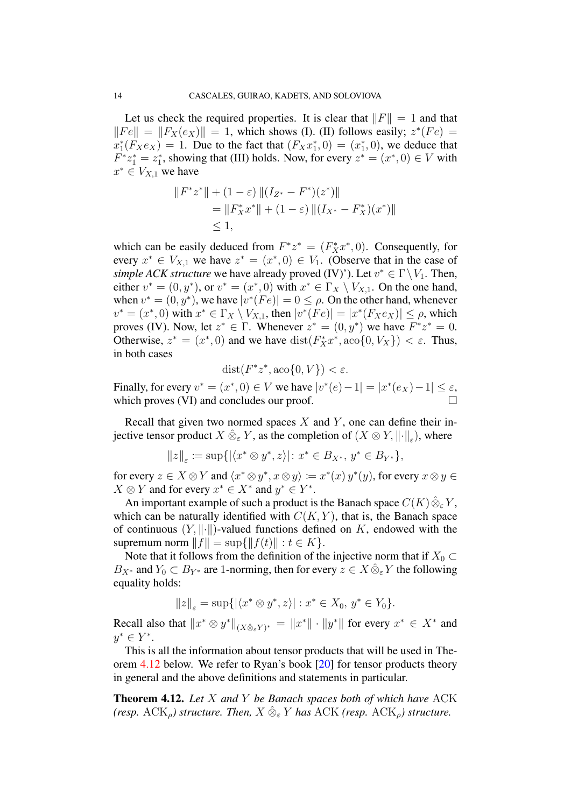Let us check the required properties. It is clear that  $||F|| = 1$  and that  $||Fe|| = ||F_X(e_X)|| = 1$ , which shows (I). (II) follows easily;  $z^*(Fe) =$  $x_1^*(F_Xe_X) = 1$ . Due to the fact that  $(F_Xx_1^*, 0) = (x_1^*, 0)$ , we deduce that  $F^*z_1^* = z_1^*$ , showing that (III) holds. Now, for every  $z^* = (x^*, 0) \in V$  with  $x^* \in V_{X,1}$  we have

$$
||F^*z^*|| + (1 - \varepsilon) ||(I_{Z^*} - F^*)(z^*)||
$$
  
=  $||F_X^*x^*|| + (1 - \varepsilon) ||(I_{X^*} - F_X^*)(x^*)||$   
 $\leq 1,$ 

which can be easily deduced from  $F^*z^* = (F_X^*x^*, 0)$ . Consequently, for every  $x^* \in V_{X,1}$  we have  $z^* = (x^*,0) \in V_1$ . (Observe that in the case of *simple ACK structure* we have already proved (IV)'). Let  $v^* \in \Gamma \setminus V_1$ . Then, either  $v^* = (0, y^*)$ , or  $v^* = (x^*, 0)$  with  $x^* \in \Gamma_X \setminus V_{X,1}$ . On the one hand, when  $v^* = (0, y^*)$ , we have  $|v^*(Fe)| = 0 \le \rho$ . On the other hand, whenever  $v^* = (x^*, 0)$  with  $x^* \in \Gamma_X \setminus V_{X,1}$ , then  $|v^*(Fe)| = |x^*(F_Xe_X)| \le \rho$ , which proves (IV). Now, let  $z^* \in \Gamma$ . Whenever  $z^* = (0, y^*)$  we have  $F^*z^* = 0$ . Otherwise,  $z^* = (x^*, 0)$  and we have  $dist(F_X^* x^*, ac \circ \{0, V_X\}) < \varepsilon$ . Thus, in both cases

$$
dist(F^*z^*, aco\{0, V\}) < \varepsilon.
$$

Finally, for every  $v^* = (x^*, 0) \in V$  we have  $|v^*(e) - 1| = |x^*(e_X) - 1| \le \varepsilon$ , which proves *(VI)* and concludes our proof.

Recall that given two normed spaces  $X$  and  $Y$ , one can define their injective tensor product  $X\,\hat{\otimes}_\varepsilon Y$ , as the completion of  $(X\otimes Y,\lVert\cdot\rVert_\varepsilon)$ , where

$$
||z||_{\varepsilon} := \sup\{|\langle x^* \otimes y^*, z \rangle| : x^* \in B_{X^*}, y^* \in B_{Y^*}\},\
$$

for every  $z \in X \otimes Y$  and  $\langle x^* \otimes y^*, x \otimes y \rangle := x^*(x) y^*(y)$ , for every  $x \otimes y \in Y$  $X \otimes Y$  and for every  $x^* \in X^*$  and  $y^* \in Y^*$ .

An important example of such a product is the Banach space  $C(K)\hat{\otimes}_{\varepsilon} Y$ , which can be naturally identified with  $C(K, Y)$ , that is, the Banach space of continuous  $(Y, \|\cdot\|)$ -valued functions defined on K, endowed with the supremum norm  $||f|| = \sup{||f(t)|| : t \in K}$ .

Note that it follows from the definition of the injective norm that if  $X_0 \subset$  $B_{X^*}$  and  $Y_0 \subset B_{Y^*}$  are 1-norming, then for every  $z \in X \hat{\otimes}_{\varepsilon} Y$  the following equality holds:

$$
||z||_{\varepsilon} = \sup\{|\langle x^* \otimes y^*, z\rangle| : x^* \in X_0, y^* \in Y_0\}.
$$

Recall also that  $||x^* \otimes y^*||_{(X \hat{\otimes}_{\varepsilon} Y)^*} = ||x^*|| \cdot ||y^*||$  for every  $x^* \in X^*$  and  $y^* \in Y^*$ .

This is all the information about tensor products that will be used in Theorem [4.12](#page-14-0) below. We refer to Ryan's book [\[20\]](#page-24-8) for tensor products theory in general and the above definitions and statements in particular.

<span id="page-14-0"></span>Theorem 4.12. *Let* X *and* Y *be Banach spaces both of which have* ACK *(resp.* ACK<sub>o</sub>) structure. Then,  $X \hat{\otimes}_{\varepsilon} Y$  has ACK *(resp.* ACK<sub>o</sub>) structure.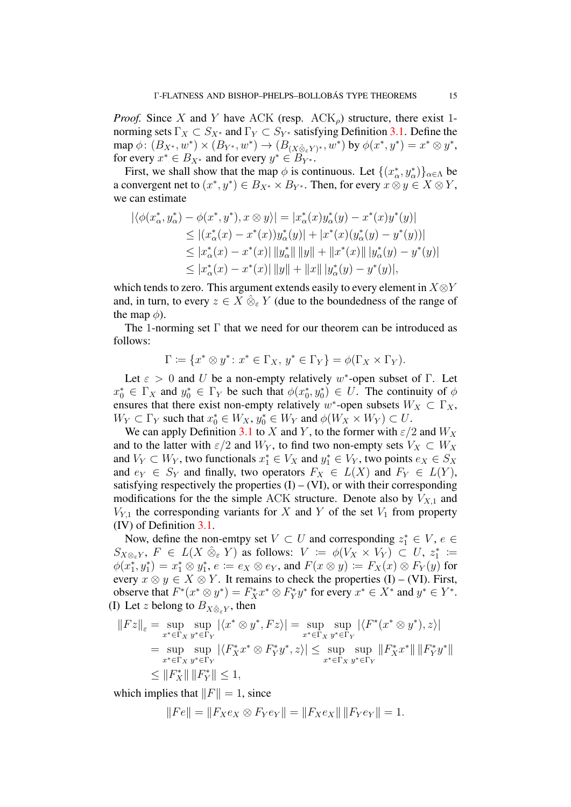*Proof.* Since X and Y have ACK (resp.  $ACK_{\rho}$ ) structure, there exist 1norming sets  $\Gamma_X \subset S_{X^*}$  and  $\Gamma_Y \subset S_{Y^*}$  satisfying Definition [3.1.](#page-6-0) Define the  $\text{map }\phi\colon (B_{X^*}, w^*)\times (B_{Y^*}, w^*)\to (B_{(X\hat{\otimes}_\varepsilon Y)^*}, w^*) \text{ by } \phi(x^*, y^*)=x^*\otimes y^*,$ for every  $x^* \in B_{X^*}$  and for every  $y^* \in \overline{B_{Y^*}}$ .

First, we shall show that the map  $\phi$  is continuous. Let  $\{(x_\alpha^*, y_\alpha^*)\}_{\alpha \in \Lambda}$  be a convergent net to  $(x^*, y^*) \in B_{X^*} \times B_{Y^*}$ . Then, for every  $x \otimes y \in X \otimes Y$ , we can estimate

$$
\begin{aligned} |\langle \phi(x^*_\alpha, y^*_\alpha) - \phi(x^*, y^*), x \otimes y \rangle| &= |x^*_\alpha(x)y^*_\alpha(y) - x^*(x)y^*(y)| \\ &\le |(x^*_\alpha(x) - x^*(x))y^*_\alpha(y)| + |x^*(x)(y^*_\alpha(y) - y^*(y))| \\ &\le |x^*_\alpha(x) - x^*(x)| \, \|y^*_\alpha\| \, \|y\| + \|x^*(x)\| \, |y^*_\alpha(y) - y^*(y)| \\ &\le |x^*_\alpha(x) - x^*(x)| \, \|y\| + \|x\| \, |y^*_\alpha(y) - y^*(y)|, \end{aligned}
$$

which tends to zero. This argument extends easily to every element in  $X \otimes Y$ and, in turn, to every  $z \in X \hat{\otimes}_{\varepsilon} Y$  (due to the boundedness of the range of the map  $\phi$ ).

The 1-norming set  $\Gamma$  that we need for our theorem can be introduced as follows:

$$
\Gamma \coloneqq \{x^* \otimes y^* \colon x^* \in \Gamma_X, \, y^* \in \Gamma_Y\} = \phi(\Gamma_X \times \Gamma_Y).
$$

Let  $\varepsilon > 0$  and U be a non-empty relatively w<sup>\*</sup>-open subset of  $\Gamma$ . Let  $x_0^* \in \Gamma_X$  and  $y_0^* \in \Gamma_Y$  be such that  $\phi(x_0^*, y_0^*) \in U$ . The continuity of  $\phi$ ensures that there exist non-empty relatively w<sup>\*</sup>-open subsets  $W_X \subset \Gamma_X$ ,  $W_Y \subset \Gamma_Y$  such that  $x_0^* \in W_X$ ,  $y_0^* \in W_Y$  and  $\phi(W_X \times W_Y) \subset U$ .

We can apply Definition [3.1](#page-6-0) to X and Y, to the former with  $\varepsilon/2$  and  $W_X$ and to the latter with  $\varepsilon/2$  and  $W_Y$ , to find two non-empty sets  $V_X \subset W_X$ and  $V_Y \subset W_Y$ , two functionals  $x_1^* \in V_X$  and  $y_1^* \in V_Y$ , two points  $e_X \in S_X$ and  $e_Y \in S_Y$  and finally, two operators  $F_X \in L(X)$  and  $F_Y \in L(Y)$ , satisfying respectively the properties  $(I) - (VI)$ , or with their corresponding modifications for the the simple ACK structure. Denote also by  $V_{X,1}$  and  $V_{Y,1}$  the corresponding variants for X and Y of the set  $V_1$  from property (IV) of Definition [3.1.](#page-6-0)

Now, define the non-emtpy set  $V \subset U$  and corresponding  $z_1^* \in V$ ,  $e \in$  $S_{X\otimes_{\varepsilon}Y},\ F\ \in\ L(X\ \hat{\otimes}_{\varepsilon}Y)$  as follows:  $V\ :=\ \phi(V_X\ \times\ V_Y)\ \subset\ U,\ z_1^*\ :=\$  $\phi(x_1^*, y_1^*) = x_1^* \otimes y_1^*, e \coloneqq e_X \otimes e_Y$ , and  $F(x \otimes y) \coloneqq F_X(x) \otimes F_Y(y)$  for every  $x \otimes y \in X \otimes Y$ . It remains to check the properties (I) – (VI). First, observe that  $F^*(x^* \otimes y^*) = F_X^* x^* \otimes F_Y^* y^*$  for every  $x^* \in X^*$  and  $y^* \in Y^*$ . (I) Let z belong to  $B_{X \hat{\otimes}_{\varepsilon} Y}$ , then

$$
||Fz||_{\varepsilon} = \sup_{x^* \in \Gamma_X} \sup_{y^* \in \Gamma_Y} |\langle x^* \otimes y^*, Fz \rangle| = \sup_{x^* \in \Gamma_X} \sup_{y^* \in \Gamma_Y} |\langle F^*(x^* \otimes y^*), z \rangle|
$$
  
\n
$$
= \sup_{x^* \in \Gamma_X} \sup_{y^* \in \Gamma_Y} |\langle F_X^* x^* \otimes F_Y^* y^*, z \rangle| \le \sup_{x^* \in \Gamma_X} \sup_{y^* \in \Gamma_Y} ||F_X^* x^*|| ||F_Y^* y^*||
$$
  
\n
$$
\le ||F_X^*|| ||F_Y^*|| \le 1,
$$

which implies that  $||F|| = 1$ , since

$$
||Fe|| = ||F_Xe_X \otimes F_Ye_Y|| = ||F_Xe_X|| ||F_Ye_Y|| = 1.
$$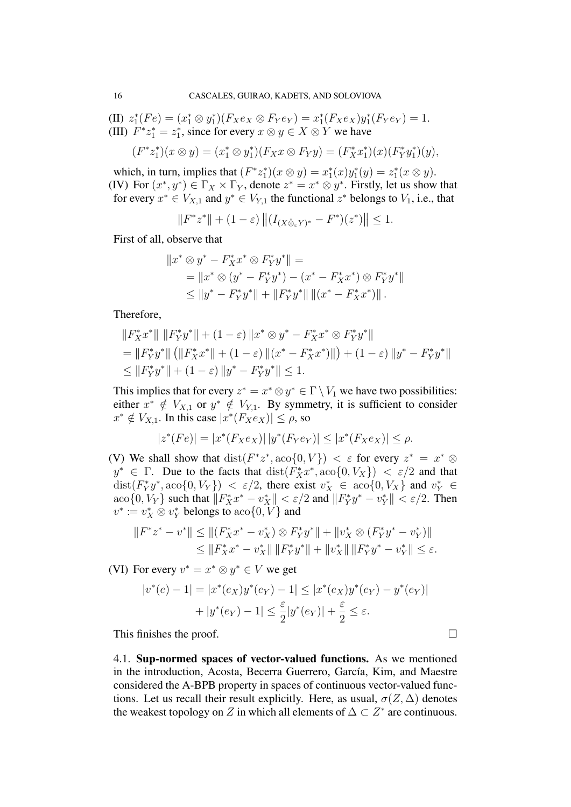(II)  $z_1^*(Fe) = (x_1^* \otimes y_1^*)(F_X e_X \otimes F_Y e_Y) = x_1^*(F_X e_X) y_1^*(F_Y e_Y) = 1.$ (III)  $F^*z_1^* = z_1^*$ , since for every  $x \otimes y \in X \otimes Y$  we have

$$
(F^*z_1^*)(x\otimes y)=(x_1^*\otimes y_1^*)(F_Xx\otimes F_Yy)=(F_X^*x_1^*)(x)(F_Y^*y_1^*)(y),
$$

which, in turn, implies that  $(F^*z_1^*)(x \otimes y) = x_1^*(x)y_1^*(y) = z_1^*(x \otimes y)$ . (IV) For  $(x^*, y^*) \in \Gamma_X \times \Gamma_Y$ , denote  $z^* = x^* \otimes y^*$ . Firstly, let us show that for every  $x^* \in V_{X,1}$  and  $y^* \in V_{Y,1}$  the functional  $z^*$  belongs to  $V_1$ , i.e., that

$$
||F^*z^*|| + (1 - \varepsilon) ||(I_{(X \hat{\otimes}_{\varepsilon} Y)^*} - F^*)(z^*)|| \le 1.
$$

First of all, observe that

$$
||x^* \otimes y^* - F_X^* x^* \otimes F_Y^* y^*|| =
$$
  
=  $||x^* \otimes (y^* - F_Y^* y^*) - (x^* - F_X^* x^*) \otimes F_Y^* y^*||$   
 $\le ||y^* - F_Y^* y^*|| + ||F_Y^* y^*|| ||(x^* - F_X^* x^*)||.$ 

Therefore,

$$
||F_X^*x^*|| ||F_Y^*y^*|| + (1 - \varepsilon) ||x^* \otimes y^* - F_X^*x^* \otimes F_Y^*y^*||
$$
  
=  $||F_Y^*y^*|| (||F_X^*x^*|| + (1 - \varepsilon) ||(x^* - F_X^*x^*)||) + (1 - \varepsilon) ||y^* - F_Y^*y^*||$   
 $\leq ||F_Y^*y^*|| + (1 - \varepsilon) ||y^* - F_Y^*y^*|| \leq 1.$ 

This implies that for every  $z^* = x^* \otimes y^* \in \Gamma \setminus V_1$  we have two possibilities: either  $x^* \notin V_{X,1}$  or  $y^* \notin V_{Y,1}$ . By symmetry, it is sufficient to consider  $x^* \notin V_{X,1}$ . In this case  $|x^*(F_Xe_X)| \leq \rho$ , so

$$
|z^*(Fe)| = |x^*(F_Xe_X)| \, |y^*(F_Ye_Y)| \le |x^*(F_Xe_X)| \le \rho.
$$

(V) We shall show that  $dist(F^*z^*, aco\{0, V\}) < \varepsilon$  for every  $z^* = x^* \otimes$  $y^* \in \Gamma$ . Due to the facts that  $dist(F_X^*x^*, ac_0{0, V_X}) < \varepsilon/2$  and that  $dist(F_Y^*y^*, aco\{0, V_Y\}) < \varepsilon/2$ , there exist  $v_X^* \in aco\{0, V_X\}$  and  $v_Y^* \in$  $\vert \cos(0, V_Y) \vert$  such that  $\Vert F_X^* x^* - v_X^* \Vert < \varepsilon/2$  and  $\Vert F_Y^* y^* - v_Y^* \Vert < \varepsilon/2$ . Then  $v^* \coloneqq v_X^* \otimes v_Y^*$  belongs to  $\text{aco}\{0, V\}$  and

$$
||F^*z^* - v^*|| \le ||(F_X^*x^* - v_X^*) \otimes F_Y^*y^*|| + ||v_X^* \otimes (F_Y^*y^* - v_Y^*)||
$$
  
\n
$$
\le ||F_X^*x^* - v_X^*|| ||F_Y^*y^*|| + ||v_X^*|| ||F_Y^*y^* - v_Y^*|| \le \varepsilon.
$$

(VI) For every  $v^* = x^* \otimes y^* \in V$  we get

$$
|v^*(e) - 1| = |x^*(e_X)y^*(e_Y) - 1| \le |x^*(e_X)y^*(e_Y) - y^*(e_Y)|
$$
  
+ |y^\*(e\_Y) - 1| \le \frac{\varepsilon}{2}|y^\*(e\_Y)| + \frac{\varepsilon}{2} \le \varepsilon.

This finishes the proof.  $\Box$ 

4.1. Sup-normed spaces of vector-valued functions. As we mentioned in the introduction, Acosta, Becerra Guerrero, García, Kim, and Maestre considered the A-BPB property in spaces of continuous vector-valued functions. Let us recall their result explicitly. Here, as usual,  $\sigma(Z, \Delta)$  denotes the weakest topology on Z in which all elements of  $\Delta \subset Z^*$  are continuous.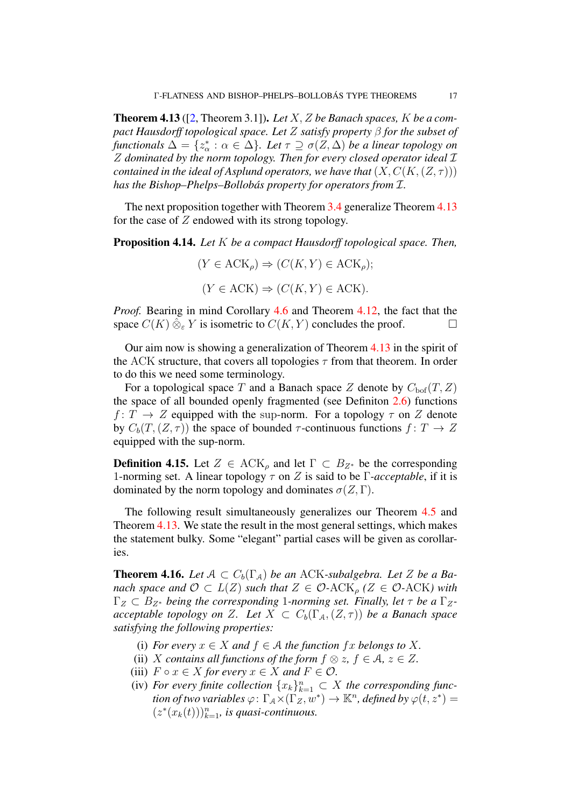<span id="page-17-0"></span>Theorem 4.13 ([\[2,](#page-23-4) Theorem 3.1]). *Let* X, Z *be Banach spaces,* K *be a compact Hausdorff topological space. Let* Z *satisfy property* β *for the subset of functionals*  $\Delta = \{z^*_{\alpha} : \alpha \in \Delta\}$ *. Let*  $\tau \supseteq \sigma(Z, \Delta)$  *be a linear topology on* Z *dominated by the norm topology. Then for every closed operator ideal* I *contained in the ideal of Asplund operators, we have that*  $(X, C(K, (Z, \tau)))$ *has the Bishop–Phelps–Bollobás property for operators from*  $I$ *.* 

The next proposition together with Theorem [3.4](#page-7-0) generalize Theorem [4.13](#page-17-0) for the case of  $Z$  endowed with its strong topology.

Proposition 4.14. *Let* K *be a compact Hausdorff topological space. Then,*

$$
(Y \in \text{ACK}_{\rho}) \Rightarrow (C(K, Y) \in \text{ACK}_{\rho});
$$
  

$$
(Y \in \text{ACK}) \Rightarrow (C(K, Y) \in \text{ACK}).
$$

*Proof.* Bearing in mind Corollary [4.6](#page-12-2) and Theorem [4.12,](#page-14-0) the fact that the space  $C(K) \hat{\otimes}_{\varepsilon} Y$  is isometric to  $C(K, Y)$  concludes the proof.

Our aim now is showing a generalization of Theorem [4.13](#page-17-0) in the spirit of the ACK structure, that covers all topologies  $\tau$  from that theorem. In order to do this we need some terminology.

For a topological space T and a Banach space Z denote by  $C_{\text{bof}}(T, Z)$ the space of all bounded openly fragmented (see Definiton [2.6\)](#page-4-2) functions  $f: T \to Z$  equipped with the sup-norm. For a topology  $\tau$  on Z denote by  $C_b(T,(Z,\tau))$  the space of bounded  $\tau$ -continuous functions  $f: T \to Z$ equipped with the sup-norm.

**Definition 4.15.** Let  $Z \in \text{ACK}_\rho$  and let  $\Gamma \subset B_{Z^*}$  be the corresponding 1-norming set. A linear topology  $\tau$  on Z is said to be  $\Gamma$ -acceptable, if it is dominated by the norm topology and dominates  $\sigma(Z, \Gamma)$ .

The following result simultaneously generalizes our Theorem [4.5](#page-11-1) and Theorem [4.13.](#page-17-0) We state the result in the most general settings, which makes the statement bulky. Some "elegant" partial cases will be given as corollaries.

<span id="page-17-1"></span>**Theorem 4.16.** Let  $A \subset C_b(\Gamma_A)$  be an ACK-subalgebra. Let Z be a Ba*nach space and*  $\mathcal{O} \subset L(Z)$  *such that*  $Z \in \mathcal{O}$ -ACK<sub>p</sub> ( $Z \in \mathcal{O}$ -ACK) with  $\Gamma_Z \subset B_{Z^*}$  *being the corresponding* 1-norming set. Finally, let  $\tau$  be a  $\Gamma_Z$ *acceptable topology on* Z. Let  $X \subset C_b(\Gamma_A, (Z, \tau))$  be a Banach space *satisfying the following properties:*

- (i) *For every*  $x \in X$  *and*  $f \in A$  *the function*  $fx$  *belongs to* X.
- (ii) X contains all functions of the form  $f \otimes z$ ,  $f \in \mathcal{A}$ ,  $z \in Z$ .
- (iii)  $F \circ x \in X$  *for every*  $x \in X$  *and*  $F \in \mathcal{O}$ *.*
- (iv) For every finite collection  $\{x_k\}_{k=1}^n \subset X$  the corresponding func*tion of two variables*  $\varphi\colon \Gamma_A \times (\Gamma_Z^{\overline{n-1}} w^*) \to \mathbb{K}^n$ , *defined by*  $\varphi(t, z^*) =$  $(z^*(x_k(t)))_{k=1}^n$ , is quasi-continuous.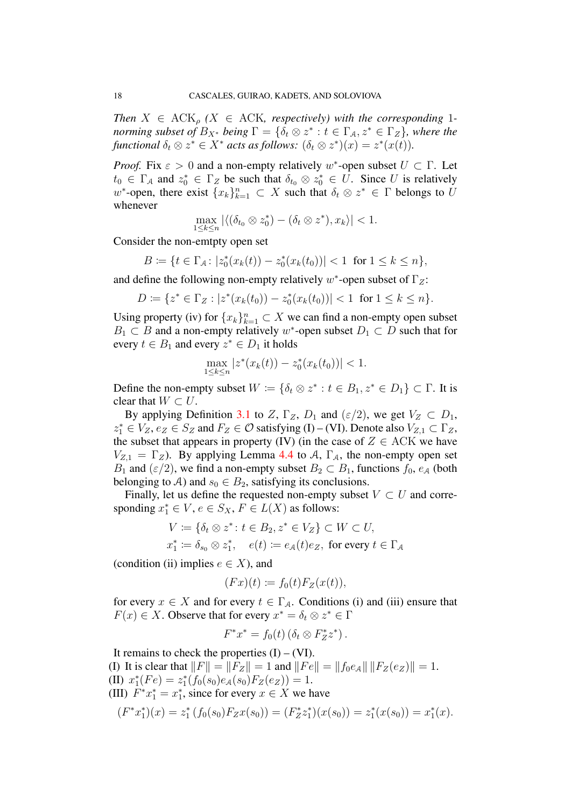*Then*  $X \in \text{ACK}_{\rho}$  ( $X \in \text{ACK}$ , respectively) with the corresponding 1*norming subset of*  $B_{X^*}$  *being*  $\Gamma = \{\delta_t \otimes z^* : t \in \Gamma_\mathcal{A}, z^* \in \Gamma_Z\}$ *, where the* functional  $\delta_t \otimes z^* \in X^*$  acts as follows:  $(\delta_t \otimes z^*)(x) = z^*(x(t)).$ 

*Proof.* Fix  $\varepsilon > 0$  and a non-empty relatively w<sup>\*</sup>-open subset  $U \subset \Gamma$ . Let  $t_0 \in \Gamma_A$  and  $z_0^* \in \Gamma_Z$  be such that  $\delta_{t_0} \otimes z_0^* \in U$ . Since U is relatively w<sup>\*</sup>-open, there exist  $\{x_k\}_{k=1}^n \subset X$  such that  $\delta_t \otimes z^* \in \Gamma$  belongs to U whenever

$$
\max_{1 \leq k \leq n} |\langle (\delta_{t_0} \otimes z_0^*) - (\delta_t \otimes z^*) , x_k \rangle| < 1.
$$

Consider the non-emtpty open set

$$
B := \{ t \in \Gamma_{\mathcal{A}} \colon |z_0^*(x_k(t)) - z_0^*(x_k(t_0))| < 1 \text{ for } 1 \le k \le n \},
$$

and define the following non-empty relatively  $w^*$ -open subset of  $\Gamma_Z$ :

$$
D := \{ z^* \in \Gamma_Z : |z^*(x_k(t_0)) - z_0^*(x_k(t_0))| < 1 \text{ for } 1 \le k \le n \}.
$$

Using property (iv) for  $\{x_k\}_{k=1}^n \subset X$  we can find a non-empty open subset  $B_1 \subset B$  and a non-empty relatively w<sup>\*</sup>-open subset  $D_1 \subset D$  such that for every  $t \in B_1$  and every  $z^* \in D_1$  it holds

$$
\max_{1 \le k \le n} |z^*(x_k(t)) - z_0^*(x_k(t_0))| < 1.
$$

Define the non-empty subset  $W := \{ \delta_t \otimes z^* : t \in B_1, z^* \in D_1 \} \subset \Gamma$ . It is clear that  $W \subset U$ .

By applying Definition [3.1](#page-6-0) to Z,  $\Gamma_Z$ ,  $D_1$  and  $(\varepsilon/2)$ , we get  $V_Z \subset D_1$ ,  $z_1^* \in V_Z$ ,  $e_Z \in S_Z$  and  $F_Z \in \mathcal{O}$  satisfying (I) – (VI). Denote also  $V_{Z,1} \subset \Gamma_Z$ , the subset that appears in property (IV) (in the case of  $Z \in ACK$  we have  $V_{Z,1} = \Gamma_Z$ ). By applying Lemma [4.4](#page-11-0) to A,  $\Gamma_A$ , the non-empty open set  $B_1$  and  $(\varepsilon/2)$ , we find a non-empty subset  $B_2 \subset B_1$ , functions  $f_0$ ,  $e_A$  (both belonging to A) and  $s_0 \in B_2$ , satisfying its conclusions.

Finally, let us define the requested non-empty subset  $V \subset U$  and corresponding  $x_1^* \in V$ ,  $e \in S_X$ ,  $F \in L(X)$  as follows:

$$
V \coloneqq \{ \delta_t \otimes z^* : t \in B_2, z^* \in V_Z \} \subset W \subset U,
$$
  

$$
x_1^* \coloneqq \delta_{s_0} \otimes z_1^*, \quad e(t) \coloneqq e_A(t)e_Z, \text{ for every } t \in \Gamma_A
$$

(condition (ii) implies  $e \in X$ ), and

$$
(Fx)(t) := f_0(t)F_Z(x(t)),
$$

for every  $x \in X$  and for every  $t \in \Gamma_A$ . Conditions (i) and (iii) ensure that  $F(x) \in X$ . Observe that for every  $x^* = \delta_t \otimes z^* \in \Gamma$ 

$$
F^*x^* = f_0(t) \left( \delta_t \otimes F_Z^* z^* \right).
$$

It remains to check the properties  $(I) - (VI)$ . (I) It is clear that  $||F|| = ||F_Z|| = 1$  and  $||Fe|| = ||f_0e_A|| ||F_Z(e_Z)|| = 1$ . (II)  $x_1^*(Fe) = z_1^*(f_0(s_0)e_A(s_0)F_Z(e_Z)) = 1.$ (III)  $F^*x_1^* = x_1^*$ , since for every  $x \in X$  we have  $(F^*x_1^*)(x) = z_1^* (f_0(s_0)F_Zx(s_0)) = (F_Z^*z_1^*)(x(s_0)) = z_1^*(x(s_0)) = x_1^*(x).$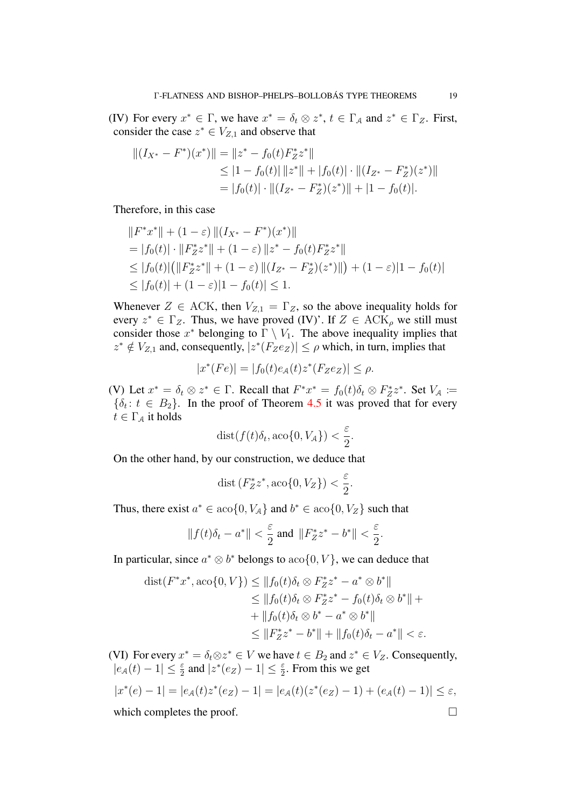(IV) For every  $x^* \in \Gamma$ , we have  $x^* = \delta_t \otimes z^*$ ,  $t \in \Gamma_A$  and  $z^* \in \Gamma_Z$ . First, consider the case  $z^* \in V_{Z,1}$  and observe that

$$
||(I_{X^*} - F^*)(x^*)|| = ||z^* - f_0(t)F_Z^*z^*||
$$
  
\n
$$
\leq |1 - f_0(t)| ||z^*|| + |f_0(t)| \cdot ||(I_{Z^*} - F_Z^*)(z^*)||
$$
  
\n
$$
= |f_0(t)| \cdot ||(I_{Z^*} - F_Z^*)(z^*)|| + |1 - f_0(t)|.
$$

Therefore, in this case

$$
||F^*x^*|| + (1 - \varepsilon) ||(I_{X^*} - F^*)(x^*)||
$$
  
= |f<sub>0</sub>(t)| · ||F<sub>Z</sub><sup>\*</sup>z<sup>\*</sup>|| + (1 - \varepsilon) ||z<sup>\*</sup> - f<sub>0</sub>(t)F<sub>Z</sub><sup>\*</sup>z<sup>\*</sup>||  

$$
\leq |f_0(t)| (||F_Z^*z^*|| + (1 - \varepsilon) ||(I_{Z^*} - F_Z^*)(z^*)||) + (1 - \varepsilon)|1 - f_0(t)|
$$
  

$$
\leq |f_0(t)| + (1 - \varepsilon)|1 - f_0(t)| \leq 1.
$$

Whenever  $Z \in ACK$ , then  $V_{Z,1} = \Gamma_Z$ , so the above inequality holds for every  $z^* \in \Gamma_Z$ . Thus, we have proved (IV)'. If  $Z \in \text{ACK}_\rho$  we still must consider those  $x^*$  belonging to  $\Gamma \setminus V_1$ . The above inequality implies that  $z^* \notin V_{Z,1}$  and, consequently,  $|z^*(F_Ze_Z)| \le \rho$  which, in turn, implies that

$$
|x^*(Fe)| = |f_0(t)e_A(t)z^*(F_Ze_Z)| \le \rho.
$$

(V) Let  $x^* = \delta_t \otimes z^* \in \Gamma$ . Recall that  $F^*x^* = f_0(t)\delta_t \otimes F_Z^*z^*$ . Set  $V_A :=$  $\{\delta_t: t \in B_2\}$ . In the proof of Theorem [4.5](#page-11-1) it was proved that for every  $t \in \Gamma_A$  it holds

$$
dist(f(t)\delta_t, aco\{0, V_{\mathcal{A}}\}) < \frac{\varepsilon}{2}.
$$

On the other hand, by our construction, we deduce that

$$
\operatorname{dist}\left(F_Z^*z^*, \operatorname{aco}\{0, V_Z\}\right) < \frac{\varepsilon}{2}.
$$

Thus, there exist  $a^* \in \alpha_0$  { 0,  $V_A$  } and  $b^* \in \alpha_0$  { 0,  $V_Z$  } such that

$$
\|f(t)\delta_t - a^*\| < \frac{\varepsilon}{2} \text{ and } \|F_Z^* z^* - b^*\| < \frac{\varepsilon}{2}.
$$

In particular, since  $a^* \otimes b^*$  belongs to  $aco\{0, V\}$ , we can deduce that

$$
\text{dist}(F^*x^*, \text{aco}\{0, V\}) \le ||f_0(t)\delta_t \otimes F_Z^*z^* - a^* \otimes b^*||
$$
  
\n
$$
\le ||f_0(t)\delta_t \otimes F_Z^*z^* - f_0(t)\delta_t \otimes b^*|| +
$$
  
\n
$$
+ ||f_0(t)\delta_t \otimes b^* - a^* \otimes b^*||
$$
  
\n
$$
\le ||F_Z^*z^* - b^*|| + ||f_0(t)\delta_t - a^*|| < \varepsilon.
$$

(VI) For every  $x^* = \delta_t \otimes z^* \in V$  we have  $t \in B_2$  and  $z^* \in V_Z$ . Consequently,  $|e_A(t) - 1| \leq \frac{\varepsilon}{2}$  and  $|z^*(e_Z) - 1| \leq \frac{\varepsilon}{2}$ . From this we get

$$
|x^*(e) - 1| = |e_{A}(t)z^*(e_{Z}) - 1| = |e_{A}(t)(z^*(e_{Z}) - 1) + (e_{A}(t) - 1)| \le \varepsilon,
$$
  
which completes the proof.

which completes the proof.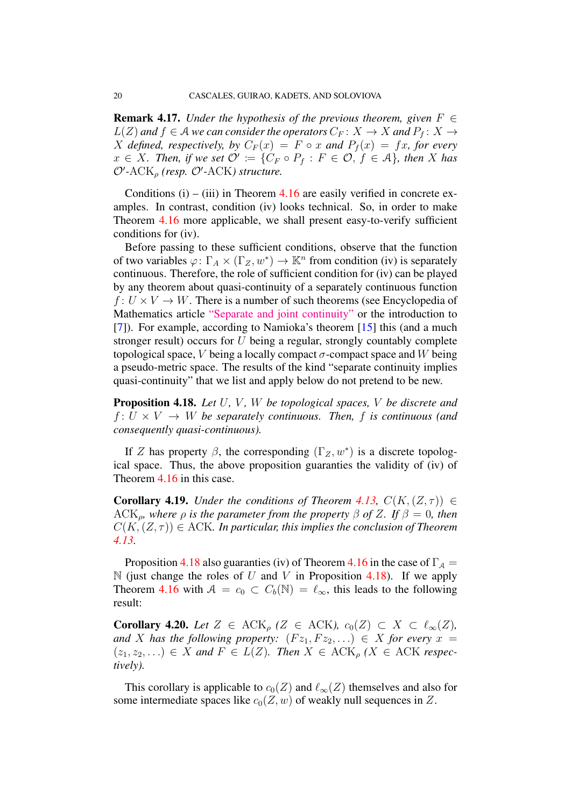**Remark 4.17.** *Under the hypothesis of the previous theorem, given*  $F \in$  $L(Z)$  and  $f \in A$  we can consider the operators  $C_F: X \to X$  and  $P_f: X \to Y$ X defined, respectively, by  $C_F(x) = F \circ x$  and  $P_f(x) = fx$ , for every  $x \in X$ *. Then, if we set*  $\mathcal{O}' \coloneqq \{C_F \circ P_f : F \in \mathcal{O}, f \in \mathcal{A}\}$ *, then* X has  $\mathcal{O}'$ -ACK<sub> $\rho$ </sub> (resp.  $\mathcal{O}'$ -ACK) structure.

Conditions  $(i)$  – (iii) in Theorem [4.16](#page-17-1) are easily verified in concrete examples. In contrast, condition (iv) looks technical. So, in order to make Theorem [4.16](#page-17-1) more applicable, we shall present easy-to-verify sufficient conditions for (iv).

Before passing to these sufficient conditions, observe that the function of two variables  $\varphi \colon \Gamma_A \times (\Gamma_Z, w^*) \to \mathbb{K}^n$  from condition (iv) is separately continuous. Therefore, the role of sufficient condition for (iv) can be played by any theorem about quasi-continuity of a separately continuous function  $f: U \times V \rightarrow W$ . There is a number of such theorems (see Encyclopedia of Mathematics article ["Separate and joint continuity"](https://www.encyclopediaofmath.org/index.php/Separate_and_joint_continuity) or the introduction to [\[7\]](#page-23-10)). For example, according to Namioka's theorem [\[15\]](#page-24-9) this (and a much stronger result) occurs for U being a regular, strongly countably complete topological space, V being a locally compact  $\sigma$ -compact space and W being a pseudo-metric space. The results of the kind "separate continuity implies quasi-continuity" that we list and apply below do not pretend to be new.

<span id="page-20-0"></span>Proposition 4.18. *Let* U*,* V *,* W *be topological spaces,* V *be discrete and*  $f: U \times V \rightarrow W$  *be separately continuous. Then, f is continuous (and consequently quasi-continuous).*

If Z has property  $\beta$ , the corresponding  $(\Gamma_Z, w^*)$  is a discrete topological space. Thus, the above proposition guaranties the validity of (iv) of Theorem [4.16](#page-17-1) in this case.

<span id="page-20-1"></span>**Corollary 4.19.** *Under the conditions of Theorem [4.13,](#page-17-0)*  $C(K, (Z, \tau)) \in$  $ACK_{\rho}$ *, where*  $\rho$  *is the parameter from the property*  $\beta$  *of Z. If*  $\beta = 0$ *, then*  $C(K, (Z, \tau)) \in ACK$ *. In particular, this implies the conclusion of Theorem [4.13.](#page-17-0)*

Proposition [4.18](#page-20-0) also guaranties (iv) of Theorem [4.16](#page-17-1) in the case of  $\Gamma_A$  =  $\mathbb N$  (just change the roles of U and V in Proposition [4.18\)](#page-20-0). If we apply Theorem [4.16](#page-17-1) with  $A = c_0 \subset C_b(\mathbb{N}) = \ell_{\infty}$ , this leads to the following result:

**Corollary 4.20.** *Let*  $Z \in \text{ACK}_o$  ( $Z \in \text{ACK}$ *),*  $c_0(Z) \subset X \subset \ell_{\infty}(Z)$ *, and* X has the following property:  $(Fz_1, Fz_2, ...) \in X$  for every  $x =$  $(z_1, z_2, \ldots) \in X$  and  $F \in L(Z)$ . Then  $X \in \mathrm{ACK}_p(X \in \mathrm{ACK}$  respec*tively).*

This corollary is applicable to  $c_0(Z)$  and  $\ell_{\infty}(Z)$  themselves and also for some intermediate spaces like  $c_0(Z, w)$  of weakly null sequences in Z.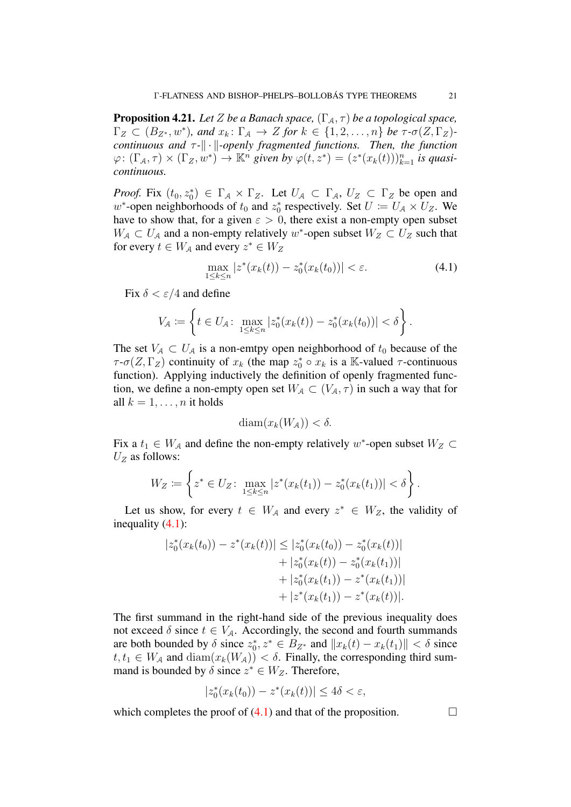<span id="page-21-1"></span>**Proposition 4.21.** *Let* Z *be a Banach space*,  $(\Gamma_A, \tau)$  *be a topological space*,  $\Gamma_Z \subset (B_{Z^*}, w^*)$ , and  $x_k \colon \Gamma_A \to Z$  for  $k \in \{1, 2, \ldots, n\}$  be  $\tau \cdot \sigma(Z, \Gamma_Z)$ *continuous and*  $τ$ - $\|\cdot\|$ -openly fragmented functions. Then, the function  $\varphi\colon (\Gamma_\mathcal{A}, \tau) \times (\Gamma_Z, w^*) \to \mathbb{K}^n$  given by  $\varphi(t, z^*) = (z^*(x_k(t)))_{k=1}^n$  is quasi*continuous.*

*Proof.* Fix  $(t_0, z_0^*) \in \Gamma_A \times \Gamma_Z$ . Let  $U_A \subset \Gamma_A$ ,  $U_Z \subset \Gamma_Z$  be open and w<sup>\*</sup>-open neighborhoods of  $t_0$  and  $z_0^*$  respectively. Set  $U := U_A \times U_Z$ . We have to show that, for a given  $\varepsilon > 0$ , there exist a non-empty open subset  $W_A \subset U_A$  and a non-empty relatively w<sup>\*</sup>-open subset  $W_Z \subset U_Z$  such that for every  $t \in W_A$  and every  $z^* \in W_Z$ 

<span id="page-21-0"></span>
$$
\max_{1 \le k \le n} |z^*(x_k(t)) - z_0^*(x_k(t_0))| < \varepsilon. \tag{4.1}
$$

Fix  $\delta < \varepsilon/4$  and define

$$
V_{\mathcal{A}} \coloneqq \left\{ t \in U_{\mathcal{A}} \colon \max_{1 \leq k \leq n} |z_0^*(x_k(t)) - z_0^*(x_k(t_0))| < \delta \right\}.
$$

The set  $V_A \subset U_A$  is a non-emtpy open neighborhood of  $t_0$  because of the  $\tau$ - $\sigma(Z,\Gamma_Z)$  continuity of  $x_k$  (the map  $z_0^* \circ x_k$  is a K-valued  $\tau$ -continuous function). Applying inductively the definition of openly fragmented function, we define a non-empty open set  $W_A \subset (V_A, \tau)$  in such a way that for all  $k = 1, \ldots, n$  it holds

$$
\text{diam}(x_k(W_A)) < \delta.
$$

Fix a  $t_1 \in W_A$  and define the non-empty relatively w<sup>\*</sup>-open subset  $W_Z \subset$  $U<sub>Z</sub>$  as follows:

$$
W_Z \coloneqq \left\{ z^* \in U_Z \colon \max_{1 \le k \le n} |z^*(x_k(t_1)) - z_0^*(x_k(t_1))| < \delta \right\}.
$$

Let us show, for every  $t \in W_A$  and every  $z^* \in W_Z$ , the validity of inequality [\(4.1\)](#page-21-0):

$$
|z_0^*(x_k(t_0)) - z^*(x_k(t))| \le |z_0^*(x_k(t_0)) - z_0^*(x_k(t))|
$$
  
+  $|z_0^*(x_k(t)) - z_0^*(x_k(t_1))|$   
+  $|z_0^*(x_k(t_1)) - z^*(x_k(t_1))|$   
+  $|z^*(x_k(t_1)) - z^*(x_k(t))|$ .

The first summand in the right-hand side of the previous inequality does not exceed  $\delta$  since  $t \in V_A$ . Accordingly, the second and fourth summands are both bounded by  $\delta$  since  $z_0^*, z^* \in B_{Z^*}$  and  $||x_k(t) - x_k(t_1)|| < \delta$  since  $t, t_1 \in W_A$  and  $\text{diam}(x_k(W_A)) < \delta$ . Finally, the corresponding third summand is bounded by  $\delta$  since  $z^* \in W_Z$ . Therefore,

$$
|z_0^*(x_k(t_0)) - z^*(x_k(t))| \le 4\delta < \varepsilon,
$$

which completes the proof of  $(4.1)$  and that of the proposition.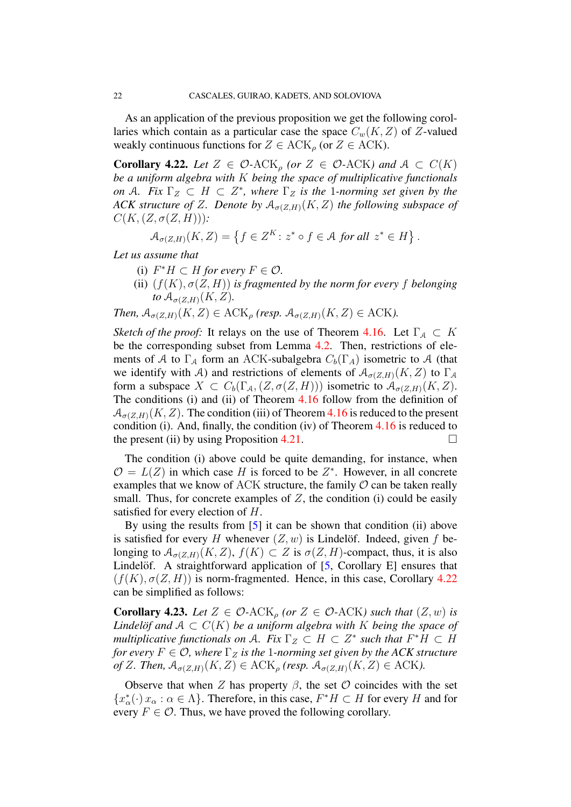As an application of the previous proposition we get the following corollaries which contain as a particular case the space  $C_w(K, Z)$  of Z-valued weakly continuous functions for  $Z \in \text{ACK}_\rho$  (or  $Z \in \text{ACK}$ ).

<span id="page-22-0"></span>**Corollary 4.22.** *Let*  $Z \in \mathcal{O}$ -ACK<sub>*o*</sub> (or  $Z \in \mathcal{O}$ -ACK) and  $A \subset C(K)$ *be a uniform algebra with* K *being the space of multiplicative functionals on* A. Fix  $\Gamma_Z \subset H \subset Z^*$ , where  $\Gamma_Z$  is the 1-norming set given by the *ACK structure of Z. Denote by*  $A_{\sigma(Z,H)}(K, Z)$  *the following subspace of*  $C(K, (Z, \sigma(Z, H)))$ :

$$
\mathcal{A}_{\sigma(Z,H)}(K,Z) = \left\{ f \in Z^K \colon z^* \circ f \in \mathcal{A} \text{ for all } z^* \in H \right\}.
$$

*Let us assume that*

- (i)  $F^*H \subset H$  *for every*  $F \in \mathcal{O}$ .
- (ii)  $(f(K), \sigma(Z, H))$  *is fragmented by the norm for every* f *belonging to*  $\mathcal{A}_{\sigma(Z,H)}(K,Z)$ .

*Then,*  $A_{\sigma(Z,H)}(K, Z) \in \text{ACK}_\rho$  *(resp.*  $A_{\sigma(Z,H)}(K, Z) \in \text{ACK}$ *).* 

*Sketch of the proof:* It relays on the use of Theorem [4.16.](#page-17-1) Let  $\Gamma_A \subset K$ be the corresponding subset from Lemma [4.2.](#page-10-0) Then, restrictions of elements of A to  $\Gamma_A$  form an ACK-subalgebra  $C_b(\Gamma_A)$  isometric to A (that we identify with A) and restrictions of elements of  $A_{\sigma(Z,H)}(K, Z)$  to  $\Gamma_A$ form a subspace  $X \subset C_b(\Gamma_A, (Z, \sigma(Z, H)))$  isometric to  $\mathcal{A}_{\sigma(Z,H)}(K, Z)$ . The conditions (i) and (ii) of Theorem [4.16](#page-17-1) follow from the definition of  $\mathcal{A}_{\sigma(Z,H)}(K, Z)$ . The condition (iii) of Theorem [4.16](#page-17-1) is reduced to the present condition (i). And, finally, the condition (iv) of Theorem [4.16](#page-17-1) is reduced to the present (ii) by using Proposition [4.21.](#page-21-1)

The condition (i) above could be quite demanding, for instance, when  $\mathcal{O} = L(Z)$  in which case H is forced to be  $Z^*$ . However, in all concrete examples that we know of ACK structure, the family  $\mathcal O$  can be taken really small. Thus, for concrete examples of  $Z$ , the condition (i) could be easily satisfied for every election of H.

By using the results from [\[5\]](#page-23-11) it can be shown that condition (ii) above is satisfied for every H whenever  $(Z, w)$  is Lindelöf. Indeed, given f belonging to  $A_{\sigma(Z,H)}(K, Z)$ ,  $f(K) \subset Z$  is  $\sigma(Z, H)$ -compact, thus, it is also Lindelöf. A straightforward application of  $[5,$  $[5,$  Corollary E] ensures that  $(f(K), \sigma(Z, H))$  is norm-fragmented. Hence, in this case, Corollary [4.22](#page-22-0) can be simplified as follows:

**Corollary 4.23.** Let  $Z \in \mathcal{O}$ -ACK<sub>p</sub> (or  $Z \in \mathcal{O}$ -ACK) such that  $(Z, w)$  is *Lindelof and*  $A \subset C(K)$  *be a uniform algebra with* K *being the space of multiplicative functionals on A. Fix*  $\Gamma_Z \subset H \subset Z^*$  *such that*  $F^*H \subset H$ *for every*  $F \in \mathcal{O}$ , where  $\Gamma_Z$  *is the* 1*-norming set given by the ACK structure of* Z. Then,  $A_{\sigma(Z,H)}(K, Z) \in ACK_{\rho}$  (resp.  $A_{\sigma(Z,H)}(K, Z) \in ACK$ ).

Observe that when Z has property  $\beta$ , the set  $\mathcal O$  coincides with the set  ${x<sub>\alpha</sub><sup>*</sup>(·) x<sub>\alpha</sub> : \alpha \in \Lambda}$ . Therefore, in this case,  $F^*H \subset H$  for every H and for every  $F \in \mathcal{O}$ . Thus, we have proved the following corollary.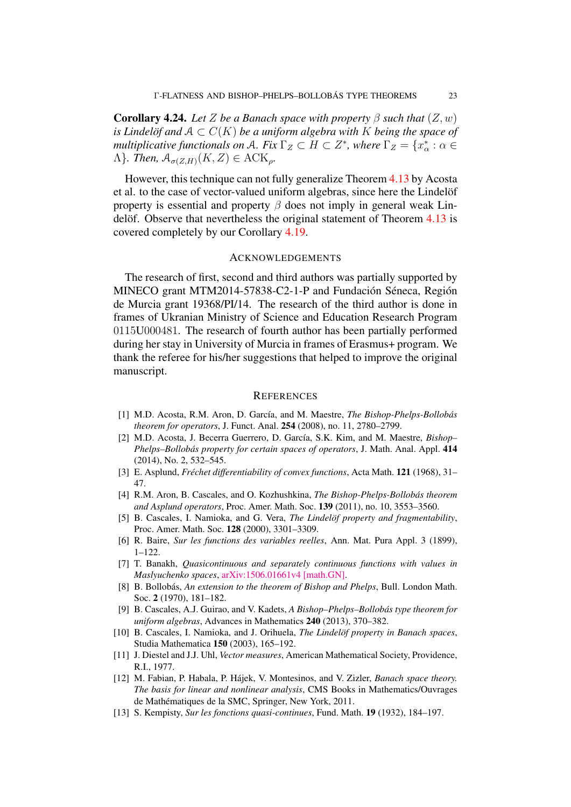**Corollary 4.24.** *Let* Z *be a Banach space with property*  $\beta$  *such that*  $(Z, w)$ *is Lindelöf and*  $A \subset C(K)$  *be a uniform algebra with* K *being the space of multiplicative functionals on A. Fix*  $\Gamma_Z \subset H \subset Z^*$ , where  $\Gamma_Z = \{x^*_\alpha : \alpha \in$  $\Lambda$ *}. Then,*  $\mathcal{A}_{\sigma(Z,H)}(K,Z) \in \text{ACK}_\rho$ .

However, this technique can not fully generalize Theorem [4.13](#page-17-0) by Acosta et al. to the case of vector-valued uniform algebras, since here the Lindelöf property is essential and property  $\beta$  does not imply in general weak Lindelöf. Observe that nevertheless the original statement of Theorem  $4.13$  is covered completely by our Corollary [4.19.](#page-20-1)

#### ACKNOWLEDGEMENTS

The research of first, second and third authors was partially supported by MINECO grant MTM2014-57838-C2-1-P and Fundación Séneca, Región de Murcia grant 19368/PI/14. The research of the third author is done in frames of Ukranian Ministry of Science and Education Research Program 0115U000481. The research of fourth author has been partially performed during her stay in University of Murcia in frames of Erasmus+ program. We thank the referee for his/her suggestions that helped to improve the original manuscript.

#### **REFERENCES**

- <span id="page-23-0"></span>[1] M.D. Acosta, R.M. Aron, D. García, and M. Maestre, *The Bishop-Phelps-Bollobás theorem for operators*, J. Funct. Anal. 254 (2008), no. 11, 2780–2799.
- <span id="page-23-4"></span>[2] M.D. Acosta, J. Becerra Guerrero, D. García, S.K. Kim, and M. Maestre, *Bishop*-*Phelps–Bollobás property for certain spaces of operators*, *J. Math. Anal. Appl.* 414 (2014), No. 2, 532–545.
- <span id="page-23-6"></span>[3] E. Asplund, *Frechet differentiability of convex functions ´* , Acta Math. 121 (1968), 31– 47.
- <span id="page-23-2"></span>[4] R.M. Aron, B. Cascales, and O. Kozhushkina, *The Bishop-Phelps-Bollobas theorem ´ and Asplund operators*, Proc. Amer. Math. Soc. 139 (2011), no. 10, 3553–3560.
- <span id="page-23-11"></span>[5] B. Cascales, I. Namioka, and G. Vera, *The Lindelof property and fragmentability*, Proc. Amer. Math. Soc. 128 (2000), 3301–3309.
- <span id="page-23-9"></span>[6] R. Baire, *Sur les functions des variables reelles*, Ann. Mat. Pura Appl. 3 (1899), 1–122.
- <span id="page-23-10"></span>[7] T. Banakh, *Quasicontinuous and separately continuous functions with values in Maslyuchenko spaces*, [arXiv:1506.01661v4 \[math.GN\].](http://arxiv.org/pdf/1506.01661.pdf)
- <span id="page-23-1"></span>[8] B. Bollobás, An extension to the theorem of Bishop and Phelps, Bull. London Math. Soc. 2 (1970), 181–182.
- <span id="page-23-3"></span>[9] B. Cascales, A.J. Guirao, and V. Kadets, *A Bishop–Phelps–Bollobas type theorem for ´ uniform algebras*, Advances in Mathematics 240 (2013), 370–382.
- [10] B. Cascales, I. Namioka, and J. Orihuela, *The Lindelof property in Banach spaces*, Studia Mathematica 150 (2003), 165–192.
- <span id="page-23-7"></span>[11] J. Diestel and J.J. Uhl, *Vector measures*, American Mathematical Society, Providence, R.I., 1977.
- <span id="page-23-5"></span>[12] M. Fabian, P. Habala, P. Hajek, V. Montesinos, and V. Zizler, ´ *Banach space theory. The basis for linear and nonlinear analysis*, CMS Books in Mathematics/Ouvrages de Mathématiques de la SMC, Springer, New York, 2011.
- <span id="page-23-8"></span>[13] S. Kempisty, *Sur les fonctions quasi-continues*, Fund. Math. 19 (1932), 184–197.